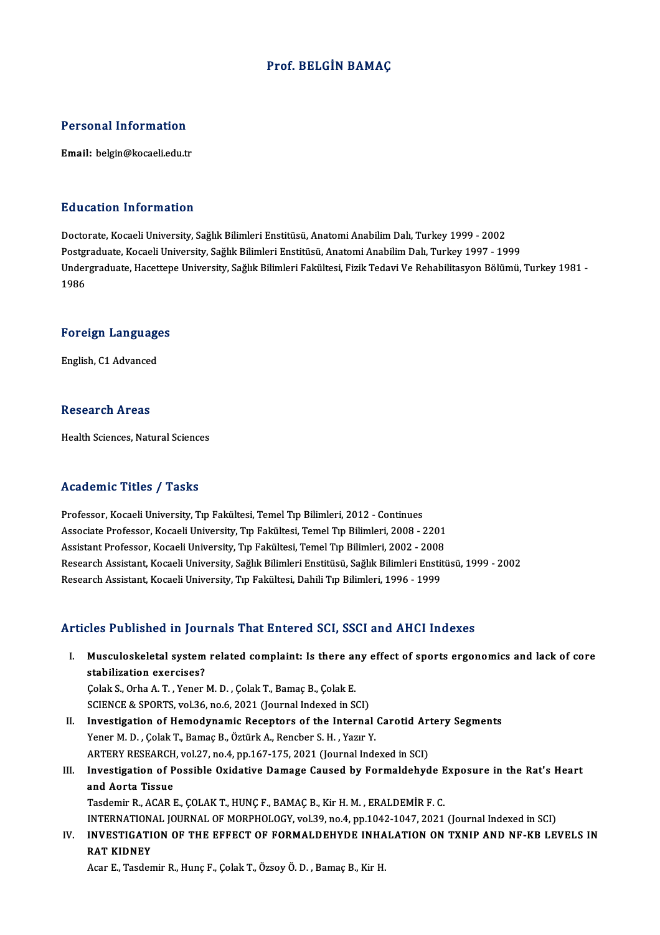#### Prof. BELGİN BAMAÇ

#### Personal Information

Email: belgin@kocaeli.edu.tr

#### Education Information

Doctorate, Kocaeli University, Sağlık Bilimleri Enstitüsü, Anatomi Anabilim Dalı, Turkey 1999 - 2002 Pu u susesi Timominusion<br>Doctorate, Kocaeli University, Sağlık Bilimleri Enstitüsü, Anatomi Anabilim Dalı, Turkey 1999 - 2002<br>Postgraduate, Kocaeli University, Sağlık Bilimleri Enstitüsü, Anatomi Anabilim Dalı, Turkey 1997 Undergraduate, Hacettepe University, Sağlık Bilimleri Fakültesi, Fizik Tedavi Ve Rehabilitasyon Bölümü, Turkey 1981 -<br>1986 Postgi<br>Under<br>1986

# 1<sub>986</sub><br>Foreign Languages <mark>Foreign Languag</mark>e<br>English, C1 Advanced

English, C1 Advanced<br>Research Areas

Health Sciences, Natural Sciences

#### Academic Titles / Tasks

Professor, Kocaeli University, Tıp Fakültesi, Temel Tıp Bilimleri, 2012 - Continues -<br>Professor, Kocaeli University, Tıp Fakültesi, Temel Tıp Bilimleri, 2012 - Continues<br>Associate Professor, Kocaeli University, Tıp Fakültesi, Temel Tıp Bilimleri, 2008 - 2201<br>Assistant Professor, Kocaeli University, Tıp Fa Professor, Kocaeli University, Tıp Fakültesi, Temel Tıp Bilimleri, 2012 - Continues<br>Associate Professor, Kocaeli University, Tıp Fakültesi, Temel Tıp Bilimleri, 2008 - 2201<br>Assistant Professor, Kocaeli University, Tıp Fakü Associate Professor, Kocaeli University, Tıp Fakültesi, Temel Tıp Bilimleri, 2008 - 2201<br>Assistant Professor, Kocaeli University, Tıp Fakültesi, Temel Tıp Bilimleri, 2002 - 2008<br>Research Assistant, Kocaeli University, Sağl Assistant Professor, Kocaeli University, Tıp Fakültesi, Temel Tıp Bilimleri, 2002 - 2008<br>Research Assistant, Kocaeli University, Sağlık Bilimleri Enstitüsü, Sağlık Bilimleri Enstit<br>Research Assistant, Kocaeli University, T Research Assistant, Kocaeli University, Tıp Fakültesi, Dahili Tıp Bilimleri, 1996 - 1999<br>Articles Published in Journals That Entered SCI, SSCI and AHCI Indexes

rticles Published in Journals That Entered SCI, SSCI and AHCI Indexes<br>I. Musculoskeletal system related complaint: Is there any effect of sports ergonomics and lack of core<br>stabilization exercises? stabilization exercises?<br>Stabilization exercises?<br>Colak S. Orba A. T. Vener. Musculoskeletal system related complaint: Is there an<br>stabilization exercises?<br>Çolak S., Orha A. T. , Yener M. D. , Çolak T., Bamaç B., Çolak E.<br>SCIENCE & SPOPTS, vol 36, no 6, 2021 (Journal Indoved in St

stabilization exercises?<br>Colak S., Orha A. T. , Yener M. D. , Çolak T., Bamaç B., Çolak E.<br>SCIENCE & SPORTS, vol.36, no.6, 2021 (Journal Indexed in SCI)

Colak S., Orha A. T. , Yener M. D. , Colak T., Bamaç B., Colak E.<br>SCIENCE & SPORTS, vol.36, no.6, 2021 (Journal Indexed in SCI)<br>II. Investigation of Hemodynamic Receptors of the Internal Carotid Artery Segments<br>Vener M. D. SCIENCE & SPORTS, vol.36, no.6, 2021 (Journal Indexed in SCI)<br>Investigation of Hemodynamic Receptors of the Internal<br>Yener M. D. , Çolak T., Bamaç B., Öztürk A., Rencber S. H. , Yazır Y.<br>APTERV RESEARCH VOL27, no.4, nn.167 Investigation of Hemodynamic Receptors of the Internal Carotid Ar<br>Yener M. D. , Çolak T., Bamaç B., Öztürk A., Rencber S. H. , Yazır Y.<br>ARTERY RESEARCH, vol.27, no.4, pp.167-175, 2021 (Journal Indexed in SCI)<br>Investigation Yener M. D. , Çolak T., Bamaç B., Öztürk A., Rencber S. H. , Yazır Y.<br>ARTERY RESEARCH, vol.27, no.4, pp.167-175, 2021 (Journal Indexed in SCI)<br>III. Investigation of Possible Oxidative Damage Caused by Formaldehyde Exposure

## ARTERY RESEARCH<br>Investigation of P<br>and Aorta Tissue<br>Teedemin P ACAP I Investigation of Possible Oxidative Damage Caused by Formaldehyde E<br>and Aorta Tissue<br>Tasdemir R., ACAR E., ÇOLAK T., HUNÇ F., BAMAÇ B., Kir H. M. , ERALDEMİR F. C.<br>INTERNATIONAL JOURNAL OF MORRHOLOCY vol 29 no.4 nn 1942-19 and Aorta Tissue<br>Tasdemir R., ACAR E., ÇOLAK T., HUNÇ F., BAMAÇ B., Kir H. M. , ERALDEMİR F. C.<br>INVESTIC ATION OF THE FEFECT OF FORMALDEHVDE INHALATION ON TYNIR AND NE KR LET

Tasdemir R., ACAR E., ÇOLAK T., HUNÇ F., BAMAÇ B., Kir H. M. , ERALDEMİR F. C.<br>INTERNATIONAL JOURNAL OF MORPHOLOGY, vol.39, no.4, pp.1042-1047, 2021 (Journal Indexed in SCI)<br>IV. INVESTIGATION OF THE EFFECT OF FORMALDEHYDE INTERNATION<br>INVESTIGATI<br>RAT KIDNEY<br>Acar E. Teader IV. INVESTIGATION OF THE EFFECT OF FORMALDEHYDE INHALATION ON TXNIP AND NF-KB LEVELS IN<br>RAT KIDNEY<br>Acar E., Tasdemir R., Hunç F., Çolak T., Özsoy Ö.D. , Bamaç B., Kir H.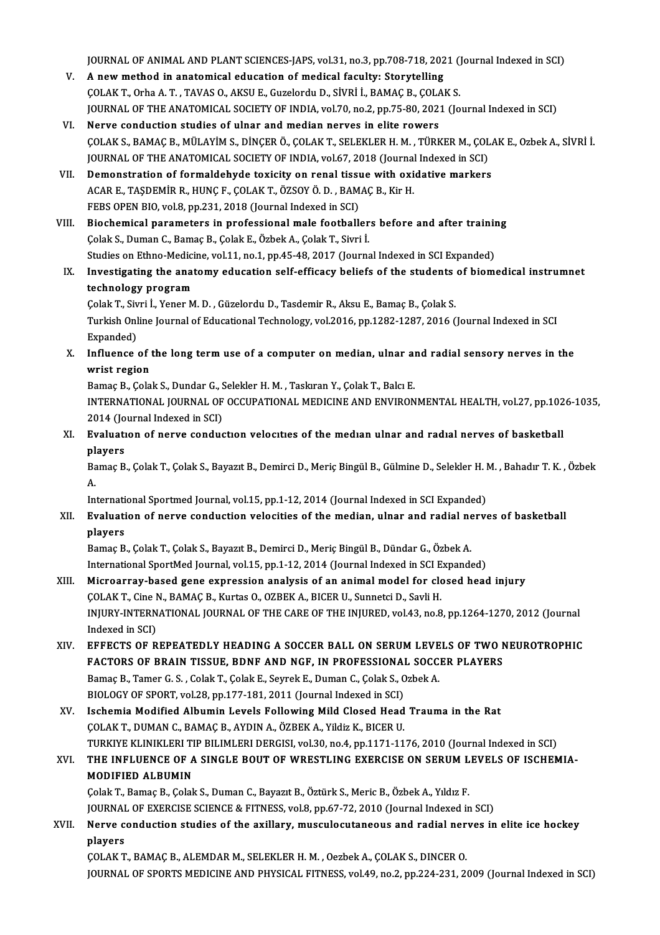JOURNAL OF ANIMAL AND PLANT SCIENCES-JAPS, vol.31, no.3, pp.708-718, 2021 (Journal Indexed in SCI)<br>A new method in anatomisel education of modisel fosulty: Storytolling

- JOURNAL OF ANIMAL AND PLANT SCIENCES-JAPS, vol.31, no.3, pp.708-718, 202<br>V. A new method in anatomical education of medical faculty: Storytelling<br>COLAK T. Orba A T. TAVAS O. AKSILE Curclardy D. Sivpi i. PAMAC B. COLAI JOURNAL OF ANIMAL AND PLANT SCIENCES-JAPS, vol.31, no.3, pp.708-718, 2021 ()<br>A new method in anatomical education of medical faculty: Storytelling<br>COLAK T., Orha A. T., TAVAS O., AKSU E., Guzelordu D., SİVRİ İ., BAMAÇ B., V. A new method in anatomical education of medical faculty: Storytelling<br>COLAK T., Orha A. T. , TAVAS O., AKSU E., Guzelordu D., SİVRİ İ., BAMAÇ B., ÇOLAK S.<br>JOURNAL OF THE ANATOMICAL SOCIETY OF INDIA, vol.70, no.2, pp.75-
- VI. Nerve conduction studies of ulnar and median nerves in elite rowers JOURNAL OF THE ANATOMICAL SOCIETY OF INDIA, vol.70, no.2, pp.75-80, 2021 (Journal Indexed in SCI)<br>Nerve conduction studies of ulnar and median nerves in elite rowers<br>ÇOLAK S., BAMAÇ B., MÜLAYİM S., DİNÇER Ö., ÇOLAK T., SEL Nerve conduction studies of ulnar and median nerves in elite rowers<br>ÇOLAK S., BAMAÇ B., MÜLAYİM S., DİNÇER Ö., ÇOLAK T., SELEKLER H. M. , TÜRKER M., ÇOL<br>JOURNAL OF THE ANATOMICAL SOCIETY OF INDIA, vol.67, 2018 (Journal Ind COLAK S., BAMAC B., MÜLAYIM S., DINCER Ö., COLAK T., SELEKLER H. M., TÜRKER M., COLA<br>JOURNAL OF THE ANATOMICAL SOCIETY OF INDIA, vol.67, 2018 (Journal Indexed in SCI)<br>VII. Demonstration of formaldehyde toxicity on renal ti
- JOURNAL OF THE ANATOMICAL SOCIETY OF INDIA, vol.67, 2018 (Journal<br>Demonstration of formaldehyde toxicity on renal tissue with oxi<br>ACAR E., TAŞDEMİR R., HUNÇ F., ÇOLAK T., ÖZSOY Ö. D., BAMAÇ B., Kir H.<br>EERS OREN PIO vol.8, Demonstration of formaldehyde toxicity on renal tissue.<br>ACAR E., TAŞDEMİR R., HUNÇ F., ÇOLAK T., ÖZSOY Ö. D. , BAM<br>FEBS OPEN BIO, vol.8, pp.231, 2018 (Journal Indexed in SCI)<br>Piesbemisel peremeters in prefessional male fee ACAR E., TAŞDEMİR R., HUNÇ F., ÇOLAK T., ÖZSOY Ö. D., BAMAÇ B., Kir H.<br>FEBS OPEN BIO, vol.8, pp.231, 2018 (Journal Indexed in SCI)<br>VIII. Biochemical parameters in professional male footballers before and after training<br>Col
- FEBS OPEN BIO, vol.8, pp.231, 2018 (Journal Indexed in SCI)<br>Biochemical parameters in professional male footballer<br>Çolak S., Duman C., Bamaç B., Çolak E., Özbek A., Çolak T., Sivri İ.<br>Studies en Ethne Medisine, vol.11, no. Biochemical parameters in professional male footballers before and after training<br>Colak S., Duman C., Bamaç B., Colak E., Özbek A., Colak T., Sivri İ.<br>Studies on Ethno-Medicine, vol.11, no.1, pp.45-48, 2017 (Journal Indexe Colak S., Duman C., Bamaç B., Colak E., Özbek A., Colak T., Sivri İ.<br>Studies on Ethno-Medicine, vol.11, no.1, pp.45-48, 2017 (Journal Indexed in SCI Expanded)<br>IX. Investigating the anatomy education self-efficacy beliefs o
- Studies on Ethno-Medici<br>Investigating the anat<br>technology program<br>Celek T. Sivri L. Vonen M Investigating the anatomy education self-efficacy beliefs of the students<br>technology program<br>Çolak T., Sivri İ., Yener M. D. , Güzelordu D., Tasdemir R., Aksu E., Bamaç B., Çolak S.<br>Turkish Online Journal of Educational Te

technology program<br>Çolak T., Sivri İ., Yener M. D. , Güzelordu D., Tasdemir R., Aksu E., Bamaç B., Çolak S.<br>Turkish Online Journal of Educational Technology, vol.2016, pp.1282-1287, 2016 (Journal Indexed in SCI<br>Evnanded) Colak T., Siv<br>Turkish Onl<br>Expanded)<br>Influence Turkish Online Journal of Educational Technology, vol.2016, pp.1282-1287, 2016 (Journal Indexed in SCI<br>Expanded)<br>X. Influence of the long term use of a computer on median, ulnar and radial sensory nerves in the<br>surist regi

Expanded)<br>Influence of<br>wrist region<br>Bamas B. Colo Influence of the long term use of a computer on median, ulnar al<br>wrist region<br>Bamaç B., Çolak S., Dundar G., Selekler H. M. , Taskıran Y., Çolak T., Balcı E.<br>INTERNATIONAL JOURNAL OF OCCURATIONAL MEDICINE AND ENVIRON

wrist region<br>Bamaç B., Çolak S., Dundar G., Selekler H. M. , Taskıran Y., Çolak T., Balcı E.<br>INTERNATIONAL JOURNAL OF OCCUPATIONAL MEDICINE AND ENVIRONMENTAL HEALTH, vol.27, pp.1026-1035,<br>2014 (Journal Indexed in SCI) Bamaç B., Çolak S., Dundar G., Selekler H. M., Taskıran Y., Çolak T., Balcı E. INTERNATIONAL JOURNAL OF OCCUPATIONAL MEDICINE AND ENVIRONMENTAL HEALTH, vol.27, pp.102<br>2014 (Journal Indexed in SCI)<br>XI. Evaluation of nerve conduction velocities of the median ulnar and radial nerves of basketball<br>player

2014 (Jo<br><mark>Evaluati</mark><br>players<br><sup>Pamac P</sup> Bvaluation of nerve conduction velocities of the median ulnar and radial nerves of basketball<br>players<br>Bamaç B., Çolak T., Çolak S., Bayazıt B., Demirci D., Meriç Bingül B., Gülmine D., Selekler H. M. , Bahadır T. K. , Özbe

pl<br>Ba<br>A. Bamaç B., Çolak T., Çolak S., Bayazıt B., Demirci D., Meriç Bingül B., Gülmine D., Selekler H. M. , Bahadır T. K. , Özbek<br>A.<br>International Sportmed Journal, vol.15, pp.1-12, 2014 (Journal Indexed in SCI Expanded)

## A.<br>International Sportmed Journal, vol.15, pp.1-12, 2014 (Journal Indexed in SCI Expanded)<br>XII. Evaluation of nerve conduction velocities of the median, ulnar and radial nerves of basketball<br>players Internati<br><mark>Evaluati</mark><br>players<br><sup>Pomog P</sup> Evaluation of nerve conduction velocities of the median, ulnar and radial ne<br>players<br>Bamaç B., Çolak T., Çolak S., Bayazıt B., Demirci D., Meriç Bingül B., Dündar G., Özbek A.<br>International SpertMed Journal vel 15, pp.1,12

players<br>Bamaç B., Çolak T., Çolak S., Bayazıt B., Demirci D., Meriç Bingül B., Dündar G., Özbek A.<br>International SportMed Journal, vol.15, pp.1-12, 2014 (Journal Indexed in SCI Expanded)<br>Misroernav, based sene ernnession a

- Bamaç B., Çolak T., Çolak S., Bayazıt B., Demirci D., Meriç Bingül B., Dündar G., Özbek A.<br>International SportMed Journal, vol.15, pp.1-12, 2014 (Journal Indexed in SCI Expanded)<br>XIII. Microarray-based gene expression anal International SportMed Journal, vol.15, pp.1-12, 2014 (Journal Indexed in SCI E<br>Microarray-based gene expression analysis of an animal model for clo<br>COLAK T., Cine N., BAMAÇ B., Kurtas O., OZBEK A., BICER U., Sunnetci D., Microarray-based gene expression analysis of an animal model for closed head injury<br>ÇOLAK T., Cine N., BAMAÇ B., Kurtas O., OZBEK A., BICER U., Sunnetci D., Savli H.<br>INJURY-INTERNATIONAL JOURNAL OF THE CARE OF THE INJURED, COLAK T., Cine I<br>INJURY-INTERN<br>Indexed in SCI)<br>EEEECTS OF P INJURY-INTERNATIONAL JOURNAL OF THE CARE OF THE INJURED, vol.43, no.8, pp.1264-1270, 2012 (Journal<br>Indexed in SCI)<br>XIV. EFFECTS OF REPEATEDLY HEADING A SOCCER BALL ON SERUM LEVELS OF TWO NEUROTROPHIC<br>EACTORS OF PRAIN TISSU
- Indexed in SCI)<br>EFFECTS OF REPEATEDLY HEADING A SOCCER BALL ON SERUM LEVELS OF TWO N<br>FACTORS OF BRAIN TISSUE, BDNF AND NGF, IN PROFESSIONAL SOCCER PLAYERS<br>Pamac B. Tamor C.S., Colak T. Colak E. Sourok E. Duman C. Colak S. EFFECTS OF REPEATEDLY HEADING A SOCCER BALL ON SERUM LEVE<br>FACTORS OF BRAIN TISSUE, BDNF AND NGF, IN PROFESSIONAL SOCC.<br>Bamaç B., Tamer G. S., Colak T., Çolak E., Seyrek E., Duman C., Çolak S., Ozbek A.<br>BIOLOCY OF SPOPT Vol FACTORS OF BRAIN TISSUE, BDNF AND NGF, IN PROFESSIONAL<br>Bamaç B., Tamer G. S. , Colak T., Çolak E., Seyrek E., Duman C., Çolak S., C<br>BIOLOGY OF SPORT, vol.28, pp.177-181, 2011 (Journal Indexed in SCI)<br>Issbamia Madifiad Albu Bamaç B., Tamer G. S., Colak T., Çolak E., Seyrek E., Duman C., Çolak S., Ozbek A.<br>BIOLOGY OF SPORT, vol.28, pp.177-181, 2011 (Journal Indexed in SCI)<br>XV. Ischemia Modified Albumin Levels Following Mild Closed Head Trauma
- BIOLOGY OF SPORT, vol.28, pp.177-181, 2011 (Journal Indexed in SCI)<br>Ischemia Modified Albumin Levels Following Mild Closed Head<br>ÇOLAK T., DUMAN C., BAMAÇ B., AYDIN A., ÖZBEK A., Yildiz K., BICER U.<br>TURKIVE KLINIKLERLTIR BI Ischemia Modified Albumin Levels Following Mild Closed Head Trauma in the Rat<br>ÇOLAK T., DUMAN C., BAMAÇ B., AYDIN A., ÖZBEK A., Yildiz K., BICER U.<br>TURKIYE KLINIKLERI TIP BILIMLERI DERGISI, vol.30, no.4, pp.1171-1176, 2010 COLAK T., DUMAN C., BAMAÇ B., AYDIN A., ÖZBEK A., Yildiz K., BICER U.<br>TURKIYE KLINIKLERI TIP BILIMLERI DERGISI, vol.30, no.4, pp.1171-1176, 2010 (Journal Indexed in SCI)<br>XVI. THE INFLUENCE OF A SINGLE BOUT OF WRESTLING

## TURKIYE KLINIKLERI TI<br>THE INFLUENCE OF A<br>MODIFIED ALBUMIN<br>Colak T. Bamaa B. Colak THE INFLUENCE OF A SINGLE BOUT OF WRESTLING EXERCISE ON SERUM L<br>MODIFIED ALBUMIN<br>Çolak T., Bamaç B., Çolak S., Duman C., Bayazıt B., Öztürk S., Meric B., Özbek A., Yıldız F.<br>JOUPMAL OF EXERCISE SCIENCE & EITNESS. val 8. pp MODIFIED ALBUMIN<br>Çolak T., Bamaç B., Çolak S., Duman C., Bayazıt B., Öztürk S., Meric B., Özbek A., Yıldız F.<br>JOURNAL OF EXERCISE SCIENCE & FITNESS, vol.8, pp.67-72, 2010 (Journal Indexed in SCI)<br>Narya sondustion studies o

## Colak T., Bamaç B., Colak S., Duman C., Bayazıt B., Öztürk S., Meric B., Özbek A., Yıldız F.<br>JOURNAL OF EXERCISE SCIENCE & FITNESS, vol.8, pp.67-72, 2010 (Journal Indexed in SCI)<br>XVII. Nerve conduction studies of the axill **JOURNAI<br>Nerve c<br>players** Nerve conduction studies of the axillary, musculocutaneous and radial ner<br>players<br>COLAK T., BAMAÇ B., ALEMDAR M., SELEKLER H. M. , Oezbek A., COLAK S., DINCER O.<br>JOUPMAL OF SPOPTS MEDICINE AND PHYSICAL EITNESS, vol.40, p.9

players<br>ÇOLAK T., BAMAÇ B., ALEMDAR M., SELEKLER H. M. , Oezbek A., ÇOLAK S., DINCER O.<br>JOURNAL OF SPORTS MEDICINE AND PHYSICAL FITNESS, vol.49, no.2, pp.224-231, 2009 (Journal Indexed in SCI)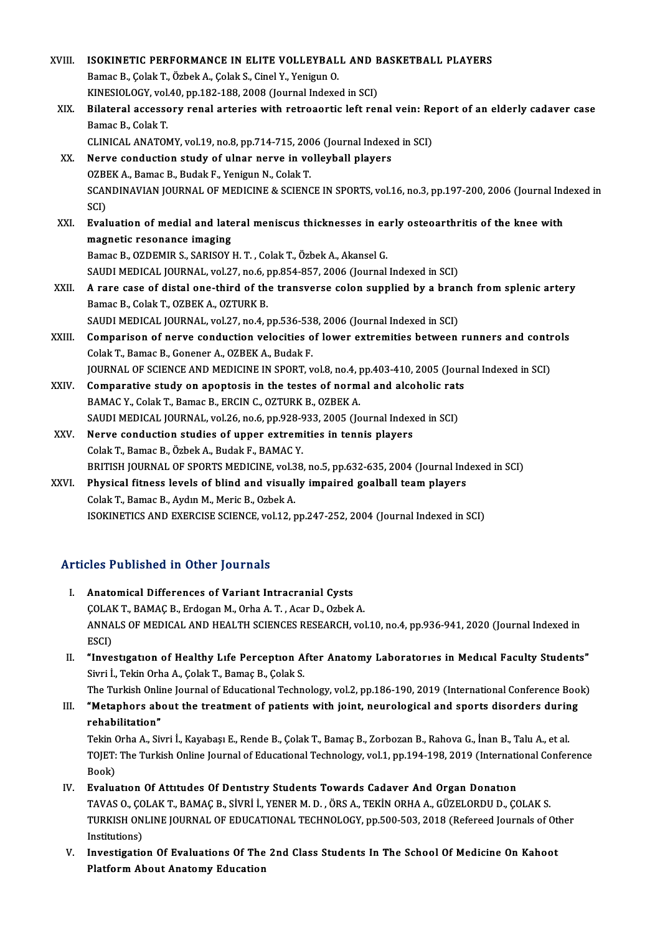| XVIII. | ISOKINETIC PERFORMANCE IN ELITE VOLLEYBALL AND BASKETBALL PLAYERS                                                           |
|--------|-----------------------------------------------------------------------------------------------------------------------------|
|        | Bamac B., Çolak T., Özbek A., Çolak S., Cinel Y., Yenigun O.                                                                |
|        | KINESIOLOGY, vol.40, pp.182-188, 2008 (Journal Indexed in SCI)                                                              |
| XIX.   | Bilateral accessory renal arteries with retroaortic left renal vein: Report of an elderly cadaver case<br>Bamac B, Colak T. |
|        | CLINICAL ANATOMY, vol.19, no.8, pp.714-715, 2006 (Journal Indexed in SCI)                                                   |
| XX.    | Nerve conduction study of ulnar nerve in volleyball players                                                                 |
|        | OZBEK A., Bamac B., Budak F., Yenigun N., Colak T.                                                                          |
|        | SCANDINAVIAN JOURNAL OF MEDICINE & SCIENCE IN SPORTS, vol.16, no.3, pp.197-200, 2006 (Journal Indexed in<br>SCI)            |
| XXI.   | Evaluation of medial and lateral meniscus thicknesses in early osteoarthritis of the knee with                              |
|        | magnetic resonance imaging                                                                                                  |
|        | Bamac B., OZDEMIR S., SARISOY H. T., Colak T., Özbek A., Akansel G.                                                         |
|        | SAUDI MEDICAL JOURNAL, vol.27, no.6, pp.854-857, 2006 (Journal Indexed in SCI)                                              |
| XXII.  | A rare case of distal one-third of the transverse colon supplied by a branch from splenic artery                            |
|        | Bamac B., Colak T., OZBEK A., OZTURK B.                                                                                     |
|        | SAUDI MEDICAL JOURNAL, vol.27, no.4, pp.536-538, 2006 (Journal Indexed in SCI)                                              |
| XXIII. | Comparison of nerve conduction velocities of lower extremities between runners and controls                                 |
|        | Colak T., Bamac B., Gonener A., OZBEK A., Budak F.                                                                          |
|        | JOURNAL OF SCIENCE AND MEDICINE IN SPORT, vol.8, no.4, pp.403-410, 2005 (Journal Indexed in SCI)                            |
| XXIV.  | Comparative study on apoptosis in the testes of normal and alcoholic rats                                                   |
|        | BAMAC Y., Colak T., Bamac B., ERCIN C., OZTURK B., OZBEK A.                                                                 |
|        | SAUDI MEDICAL JOURNAL, vol.26, no.6, pp.928-933, 2005 (Journal Indexed in SCI)                                              |
| XXV.   | Nerve conduction studies of upper extremities in tennis players                                                             |
|        | Colak T., Bamac B., Özbek A., Budak F., BAMAC Y.                                                                            |
|        | BRITISH JOURNAL OF SPORTS MEDICINE, vol.38, no.5, pp.632-635, 2004 (Journal Indexed in SCI)                                 |
| XXVI.  | Physical fitness levels of blind and visually impaired goalball team players                                                |
|        | Colak T., Bamac B., Aydın M., Meric B., Ozbek A.                                                                            |
|        | ISOKINETICS AND EXERCISE SCIENCE, vol.12, pp.247-252, 2004 (Journal Indexed in SCI)                                         |
|        |                                                                                                                             |
|        |                                                                                                                             |

### Articles Published in Other Journals

- I. Anatomical Differences of Variant Intracranial Cysts ÇOLAK T., BAMAÇ B., Erdogan M., Orha A. T., Acar D., Ozbek A. Anatomical Differences of Variant Intracranial Cysts<br>ÇOLAK T., BAMAÇ B., Erdogan M., Orha A. T. , Acar D., Ozbek A.<br>ANNALS OF MEDICAL AND HEALTH SCIENCES RESEARCH, vol.10, no.4, pp.936-941, 2020 (Journal Indexed in<br>ESCD COLAI<br>ANNA<br>ESCI)<br>"Inve INNALS OF MEDICAL AND HEALTH SCIENCES RESEARCH, vol.10, no.4, pp.936-941, 2020 (Journal Indexed in<br>ESCI)<br>II. "Investigation of Healthy Life Perception After Anatomy Laboratories in Medical Faculty Students"<br>Simi J. Tekin O
- ESCI)<br>II. "Investigation of Healthy Life Perception After Anatomy Laboratories in Medical Faculty Students"<br>Sivri İ., Tekin Orha A., Çolak T., Bamaç B., Çolak S. "Investigation of Healthy Life Perception After Anatomy Laboratories in Medical Faculty Students"<br>Sivri İ., Tekin Orha A., Çolak T., Bamaç B., Çolak S.<br>The Turkish Online Journal of Educational Technology, vol.2, pp.186-19

Sivri İ., Tekin Orha A., Çolak T., Bamaç B., Çolak S.<br>The Turkish Online Journal of Educational Technology, vol.2, pp.186-190, 2019 (International Conference Boo<br>III. "Metaphors about the treatment of patients with joint, The Turkish Onli<br>**"Metaphors ab<br>rehabilitation"**<br>Tekin Orbe A. Sir **"Metaphors about the treatment of patients with joint, neurological and sports disorders durin<br>rehabilitation"**<br>Tekin Orha A., Sivri İ., Kayabaşı E., Rende B., Çolak T., Bamaç B., Zorbozan B., Rahova G., İnan B., Talu A.,

rehabilitation"<br>Tekin Orha A., Sivri İ., Kayabaşı E., Rende B., Çolak T., Bamaç B., Zorbozan B., Rahova G., İnan B., Talu A., et al.<br>TOJET: The Turkish Online Journal of Educational Technology, vol.1, pp.194-198, 2019 (Int Tekin (<br>TOJET:<br>Book)<br>Evelus TOJET: The Turkish Online Journal of Educational Technology, vol.1, pp.194-198, 2019 (Internati<br>Book)<br>IV. Evaluation Of Attitudes Of Dentistry Students Towards Cadaver And Organ Donation<br>TAVAS O. COLAKT, BAMAC B. SİVBİ İ.

- Book)<br>Evaluation Of Attitudes Of Dentistry Students Towards Cadaver And Organ Donation<br>TAVAS O., ÇOLAK T., BAMAÇ B., SİVRİ İ., YENER M. D. , ÖRS A., TEKİN ORHA A., GÜZELORDU D., ÇOLAK S.<br>TURKISH ONUNE JOURNAL OF EDUCATIONA Evaluation Of Attitudes Of Dentistry Students Towards Cadaver And Organ Donation<br>TAVAS O., ÇOLAK T., BAMAÇ B., SİVRİ İ., YENER M. D. , ÖRS A., TEKİN ORHA A., GÜZELORDU D., ÇOLAK S.<br>TURKISH ONLINE JOURNAL OF EDUCATIONAL TEC TAVAS O., ÇO<br>TURKISH ON<br>Institutions)<br>Investisatio TURKISH ONLINE JOURNAL OF EDUCATIONAL TECHNOLOGY, pp.500-503, 2018 (Refereed Journals of Other Institutions)<br>Institutions)<br>V. Investigation Of Evaluations Of The 2nd Class Students In The School Of Medicine On Kahoot<br>Platf
- Institutions)<br>V. Investigation Of Evaluations Of The 2nd Class Students In The School Of Medicine On Kahoot<br>Platform About Anatomy Education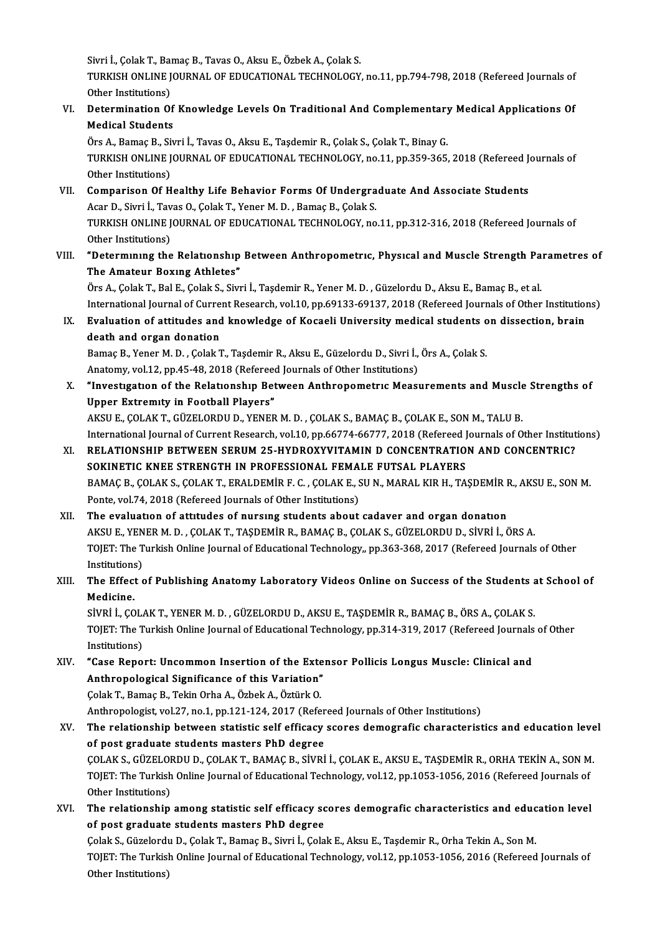Sivri İ., Çolak T., Bamaç B., Tavas O., Aksu E., Özbek A., Çolak S.<br>TURKISH ONLINE JOURNAL OE EDUCATIONAL TECHNOLOCY

Sivri İ., Çolak T., Bamaç B., Tavas O., Aksu E., Özbek A., Çolak S.<br>TURKISH ONLINE JOURNAL OF EDUCATIONAL TECHNOLOGY, no.11, pp.794-798, 2018 (Refereed Journals of Sivri İ., Çolak T., Bai<br>TURKISH ONLINE J<br>Other Institutions)<br>Determination Of TURKISH ONLINE JOURNAL OF EDUCATIONAL TECHNOLOGY, no.11, pp.794-798, 2018 (Refereed Journals of Other Institutions)<br>VI. Determination Of Knowledge Levels On Traditional And Complementary Medical Applications Of<br>Medical Stu

## Other Institutions)<br>Determination Of<br>Medical Students<br>Örs A. Bamas B. Si: Determination Of Knowledge Levels On Traditional And Complementary<br>Medical Students<br>Örs A., Bamaç B., Sivri İ., Tavas O., Aksu E., Taşdemir R., Çolak S., Çolak T., Binay G.<br>TURKISH ONI INE JOURNAL OF FRUGATIONAL TEGHNOLOGY

Medical Students<br>Örs A., Bamaç B., Sivri İ., Tavas O., Aksu E., Taşdemir R., Çolak S., Çolak T., Binay G.<br>TURKISH ONLINE JOURNAL OF EDUCATIONAL TECHNOLOGY, no.11, pp.359-365, 2018 (Refereed Journals of<br>Other Institutions) Örs A., Bamaç B., Si<br>TURKISH ONLINE J<br>Other Institutions)<br>Comnarison Of H TURKISH ONLINE JOURNAL OF EDUCATIONAL TECHNOLOGY, no.11, pp.359-365, 2018 (Refereed Journal of Healthy Life Behavior Forms Of Undergraduate And Associate Students<br>VII. Comparison Of Healthy Life Behavior Forms Of Undergrad

- Other Institutions)<br>Comparison Of Healthy Life Behavior Forms Of Undergra<br>Acar D., Sivri İ., Tavas O., Çolak T., Yener M. D. , Bamaç B., Çolak S.<br>TURKISH ONI INE IQURNAL OF EDUCATIONAL TECHNOLOCY, P. VII. Comparison Of Healthy Life Behavior Forms Of Undergraduate And Associate Students<br>Acar D., Sivri İ., Tavas O., Çolak T., Yener M. D., Bamaç B., Çolak S.<br>TURKISH ONLINE JOURNAL OF EDUCATIONAL TECHNOLOGY, no.11, pp.312-Acar D., Sivri İ., Tav<br>TURKISH ONLINE J<br>Other Institutions)<br>"Datarmınıng the TURKISH ONLINE JOURNAL OF EDUCATIONAL TECHNOLOGY, no.11, pp.312-316, 2018 (Refereed Journals of<br>Other Institutions)<br>VIII. "Determining the Relationship Between Anthropometric, Physical and Muscle Strength Parametres of<br>The
- The Amateur Boxing Athletes"<br>Örs A., Çolak T., Bal E., Çolak S., Sivri İ., Taşdemir R., Yener M. D. , Güzelordu D., Aksu E., Bamaç B., et al. "Determining the Relationship Between Anthropometric, Physical and Muscle Strength Pa<br>The Amateur Boxing Athletes"<br>Örs A., Çolak T., Bal E., Çolak S., Sivri İ., Taşdemir R., Yener M. D. , Güzelordu D., Aksu E., Bamaç B., e

International Journal of Current Research, vol.10, pp.69133-69137, 2018 (Refereed Journals of Other Institutions) Örs A., Çolak T., Bal E., Çolak S., Sivri İ., Taşdemir R., Yener M. D. , Güzelordu D., Aksu E., Bamaç B., et al.<br>International Journal of Current Research, vol.10, pp.69133-69137, 2018 (Refereed Journals of Other Instituti

## International Journal of Curre<br>Evaluation of attitudes and<br>death and organ donation<br>Bames B. Vaner M.D. Calak I Bvaluation of attitudes and knowledge of Kocaeli University medical students o<br>death and organ donation<br>Bamaç B., Yener M. D. , Çolak T., Taşdemir R., Aksu E., Güzelordu D., Sivri İ., Örs A., Çolak S.<br>Anatomy vel 12 nn 45, death and organ donation<br>Bamaç B., Yener M. D. , Çolak T., Taşdemir R., Aksu E., Güzelordu D., Sivri İ., Örs A., Çolak S.

Anatomy, vol.12, pp.45-48, 2018 (Refereed Journals of Other Institutions)

## X. "Investigation of the Relationship Between Anthropometric Measurements and Muscle Strengths of<br>Upper Extremity in Football Players" AKSUE.,ÇOLAKT.,GÜZELORDUD.,YENERM.D. ,ÇOLAKS.,BAMAÇB.,ÇOLAKE.,SONM.,TALUB. Upper Extremity in Football Players"<br>AKSU E., ÇOLAK T., GÜZELORDU D., YENER M. D. , ÇOLAK S., BAMAÇ B., ÇOLAK E., SON M., TALU B.<br>International Journal of Current Research, vol.10, pp.66774-66777, 2018 (Refereed Journals o

## AKSU E., ÇOLAK T., GÜZELORDU D., YENER M. D., ÇOLAK S., BAMAÇ B., ÇOLAK E., SON M., TALU B.<br>International Journal of Current Research, vol.10, pp.66774-66777, 2018 (Refereed Journals of Other Institut<br>XI. RELATIONSHIP BETW International Journal of Current Research, vol.10, pp.66774-66777, 2018 (Refereed J<br>RELATIONSHIP BETWEEN SERUM 25-HYDROXYVITAMIN D CONCENTRATIO<br>SOKINETIC KNEE STRENGTH IN PROFESSIONAL FEMALE FUTSAL PLAYERS<br>RAMAC B COLAKS C XI. RELATIONSHIP BETWEEN SERUM 25-HYDROXYVITAMIN D CONCENTRATION AND CONCENTRIC?<br>SOKINETIC KNEE STRENGTH IN PROFESSIONAL FEMALE FUTSAL PLAYERS<br>BAMAÇ B., ÇOLAK S., ÇOLAK T., ERALDEMİR F. C. , ÇOLAK E., SUN., MARAL KIR H., T SOKINETIC KNEE STRENGTH IN PROFESSIONAL FEMALE FUTSAL PLAYERS BAMAÇ B., ÇOLAK S., ÇOLAK T., ERALDEMİR F. C., ÇOLAK E., SU N., MARAL KIR H., TAŞDEMİR F<br>Ponte, vol.74, 2018 (Refereed Journals of Other Institutions)<br>XII. The evaluation of attitudes of nursing students about cadaver and

Ponte, vol.74, 2018 (Refereed Journals of Other Institutions)<br>The evaluation of attitudes of nursing students about cadaver and organ donation<br>AKSU E., YENER M. D. , ÇOLAK T., TAŞDEMİR R., BAMAÇ B., ÇOLAK S., GÜZELORDU D., TOJET: The Turkish Online Journal of Educational Technology,, pp.363-368, 2017 (Refereed Journals of Other Institutions) AKSU E., YENER M. D., ÇOLAK T., TAŞDEMİR R., BAMAÇ B., ÇOLAK S., GÜZELORDU D., SİVRİ İ., ÖRS A. TOJET: The Turkish Online Journal of Educational Technology,, pp.363-368, 2017 (Refereed Journals of Other<br>Institutions)<br>XIII. The Effect of Publishing Anatomy Laboratory Videos Online on Success of the Students at School

## Institutions<br>The Effect<br>Medicine.<br>Sivet i. CO The Effect of Publishing Anatomy Laboratory Videos Online on Success of the Students and<br>Medicine.<br>SİVRİ İ., ÇOLAK T., YENER M. D. , GÜZELORDU D., AKSU E., TAŞDEMİR R., BAMAÇ B., ÖRS A., ÇOLAK S.<br>TOLET: The Turkish Online

Medicine.<br>SİVRİ İ., ÇOLAK T., YENER M. D. , GÜZELORDU D., AKSU E., TAŞDEMİR R., BAMAÇ B., ÖRS A., ÇOLAK S.<br>TOJET: The Turkish Online Journal of Educational Technology, pp.314-319, 2017 (Refereed Journals of Other<br>Instituti SİVRİ İ., ÇOLAK T., YENER M. D., GÜZELORDU D., AKSU E., TAŞDEMİR R., BAMAÇ B., ÖRS A., ÇOLAK S. TOJET: The Turkish Online Journal of Educational Technology, pp.314-319, 2017 (Refereed Journals<br>Institutions)<br>XIV. "Case Report: Uncommon Insertion of the Extensor Pollicis Longus Muscle: Clinical and<br>Anthropological Sign

Institutions)<br>"Case Report: Uncommon Insertion of the Exte<br>Anthropological Significance of this Variation"<br>Colak T. Pamas B. Tokin Orba A. Örbek A. Örtürk O "Case Report: Uncommon Insertion of the Exte<br>Anthropological Significance of this Variation"<br>Colak T., Bamaç B., Tekin Orha A., Özbek A., Öztürk O.<br>Anthropologist vel 27. no 1. nn 121 124, 2017 (Befo Anthropological Significance of this Variation"<br>Çolak T., Bamaç B., Tekin Orha A., Özbek A., Öztürk O.<br>Anthropologist, vol.27, no.1, pp.121-124, 2017 (Refereed Journals of Other Institutions)<br>The relationship between stati

## Colak T., Bamaç B., Tekin Orha A., Özbek A., Öztürk O.<br>Anthropologist, vol.27, no.1, pp.121-124, 2017 (Refereed Journals of Other Institutions)<br>XV. The relationship between statistic self efficacy scores demografic charact Anthropologist, vol.27, no.1, pp.121-124, 2017 (Refer<br>The relationship between statistic self efficacy<br>of post graduate students masters PhD degree<br>COLAKS CÜZELOPDUD, COLAKT PAMACP, SİVPİ The relationship between statistic self efficacy scores demografic characteristics and education leve<br>of post graduate students masters PhD degree<br>ÇOLAK S., GÜZELORDU D., ÇOLAK T., BAMAÇ B., SİVRİ İ., ÇOLAK E., AKSU E., TA of post graduate students masters PhD degree<br>ÇOLAK S., GÜZELORDU D., ÇOLAK T., BAMAÇ B., SİVRİ İ., ÇOLAK E., AKSU E., TAŞDEMİR R., ORHA TEKİN A., SON M<br>TOJET: The Turkish Online Journal of Educational Technology, vol.12, p COLAK S., GÜZELOF<br>TOJET: The Turkish<br>Other Institutions)<br>The relationshin TOJET: The Turkish Online Journal of Educational Technology, vol.12, pp.1053-1056, 2016 (Refereed Journals of<br>Other Institutions)<br>XVI. The relationship among statistic self efficacy scores demografic characteristics and ed

Other Institutions)<br>The relationship among statistic self efficacy so<br>of post graduate students masters PhD degree<br>Colak S. Gürelerdu D. Colak T. Bamae B. Simi L. Cola The relationship among statistic self efficacy scores demografic characteristics and educ<br>of post graduate students masters PhD degree<br>Çolak S., Güzelordu D., Çolak T., Bamaç B., Sivri İ., Çolak E., Aksu E., Taşdemir R., O

of post graduate students masters PhD degree<br>Çolak S., Güzelordu D., Çolak T., Bamaç B., Sivri İ., Çolak E., Aksu E., Taşdemir R., Orha Tekin A., Son M.<br>TOJET: The Turkish Online Journal of Educational Technology, vol.12, Çolak S., Güzelordı<br>TOJET: The Turkisl<br>Other Institutions)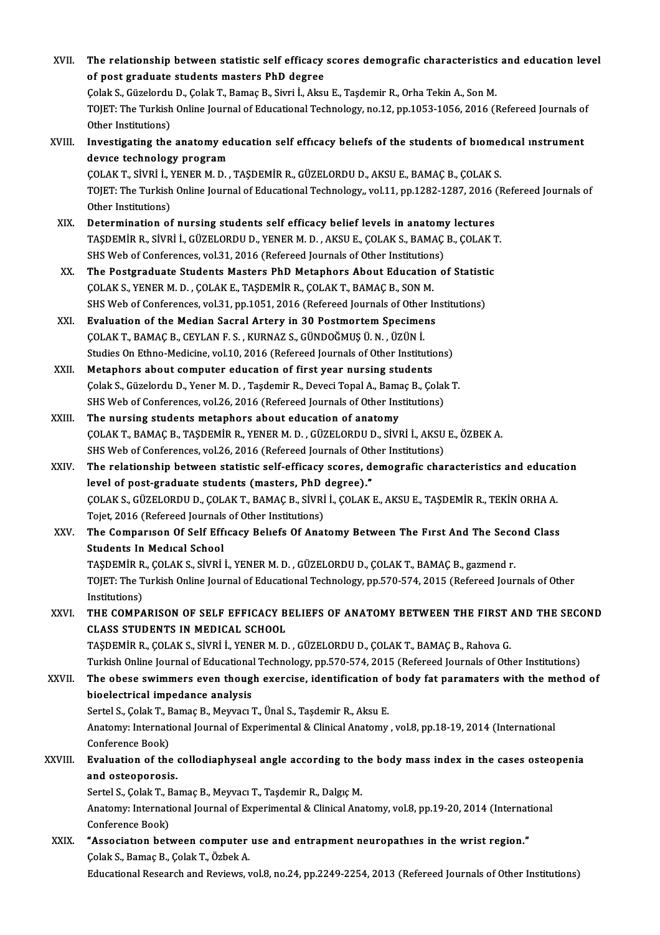| XVII.   | The relationship between statistic self efficacy scores demografic characteristics and education level                                                 |
|---------|--------------------------------------------------------------------------------------------------------------------------------------------------------|
|         | of post graduate students masters PhD degree                                                                                                           |
|         | Çolak S., Güzelordu D., Çolak T., Bamaç B., Sivri İ., Aksu E., Taşdemir R., Orha Tekin A., Son M.                                                      |
|         | TOJET: The Turkish Online Journal of Educational Technology, no.12, pp.1053-1056, 2016 (Refereed Journals of                                           |
|         | Other Institutions)                                                                                                                                    |
| XVIII.  | Investigating the anatomy education self efficacy beliefs of the students of biomedical instrument                                                     |
|         | device technology program                                                                                                                              |
|         | ÇOLAK T., SİVRİ İ., YENER M. D., TAŞDEMİR R., GÜZELORDU D., AKSU E., BAMAÇ B., ÇOLAK S.                                                                |
|         | TOJET: The Turkish Online Journal of Educational Technology,, vol.11, pp.1282-1287, 2016 (Refereed Journals of                                         |
|         | Other Institutions)                                                                                                                                    |
| XIX.    | Determination of nursing students self efficacy belief levels in anatomy lectures                                                                      |
|         | TAŞDEMİR R., SİVRİ İ., GÜZELORDU D., YENER M. D., AKSU E., ÇOLAK S., BAMAÇ B., ÇOLAK T.                                                                |
|         | SHS Web of Conferences, vol.31, 2016 (Refereed Journals of Other Institutions)                                                                         |
| XX.     | The Postgraduate Students Masters PhD Metaphors About Education of Statistic                                                                           |
|         | ÇOLAK S., YENER M. D., ÇOLAK E., TAŞDEMİR R., ÇOLAK T., BAMAÇ B., SON M.                                                                               |
|         | SHS Web of Conferences, vol.31, pp.1051, 2016 (Refereed Journals of Other Institutions)                                                                |
| XXI.    | Evaluation of the Median Sacral Artery in 30 Postmortem Specimens                                                                                      |
|         | ÇOLAK T., BAMAÇ B., CEYLAN F. S., KURNAZ S., GÜNDOĞMUŞ Ü. N., ÜZÜN İ.                                                                                  |
| XXII.   | Studies On Ethno-Medicine, vol.10, 2016 (Refereed Journals of Other Institutions)<br>Metaphors about computer education of first year nursing students |
|         | Çolak S., Güzelordu D., Yener M. D., Taşdemir R., Deveci Topal A., Bamaç B., Çolak T.                                                                  |
|         | SHS Web of Conferences, vol.26, 2016 (Refereed Journals of Other Institutions)                                                                         |
| XXIII.  | The nursing students metaphors about education of anatomy                                                                                              |
|         | ÇOLAK T., BAMAÇ B., TAŞDEMİR R., YENER M. D., GÜZELORDU D., SİVRİ İ., AKSU E., ÖZBEK A.                                                                |
|         | SHS Web of Conferences, vol.26, 2016 (Refereed Journals of Other Institutions)                                                                         |
| XXIV    | The relationship between statistic self-efficacy scores, demografic characteristics and education                                                      |
|         | level of post-graduate students (masters, PhD degree)."                                                                                                |
|         | ÇOLAK S., GÜZELORDU D., ÇOLAK T., BAMAÇ B., SİVRİ İ., ÇOLAK E., AKSU E., TAŞDEMİR R., TEKİN ORHA A.                                                    |
|         | Tojet, 2016 (Refereed Journals of Other Institutions)                                                                                                  |
| XXV     | The Comparison Of Self Efficacy Beliefs Of Anatomy Between The First And The Second Class                                                              |
|         | <b>Students In Medical School</b>                                                                                                                      |
|         | TAŞDEMİR R., ÇOLAK S., SİVRİ İ., YENER M. D., GÜZELORDU D., ÇOLAK T., BAMAÇ B., gazmend r.                                                             |
|         | TOJET: The Turkish Online Journal of Educational Technology, pp.570-574, 2015 (Refereed Journals of Other                                              |
|         | Institutions)                                                                                                                                          |
| XXVI.   | THE COMPARISON OF SELF EFFICACY BELIEFS OF ANATOMY BETWEEN THE FIRST AND THE SECOND                                                                    |
|         | <b>CLASS STUDENTS IN MEDICAL SCHOOL</b>                                                                                                                |
|         | TAȘDEMIR R., ÇOLAK S., SIVRI I., YENER M. D., GÜZELORDU D., ÇOLAK T., BAMAÇ B., Rahova G.                                                              |
|         | Turkish Online Journal of Educational Technology, pp.570-574, 2015 (Refereed Journals of Other Institutions)                                           |
| XXVII.  | The obese swimmers even though exercise, identification of body fat paramaters with the method of                                                      |
|         | bioelectrical impedance analysis<br>Sertel S., Çolak T., Bamaç B., Meyvacı T., Ünal S., Taşdemir R., Aksu E.                                           |
|         | Anatomy: International Journal of Experimental & Clinical Anatomy, vol.8, pp.18-19, 2014 (International                                                |
|         | Conference Book)                                                                                                                                       |
| XXVIII. | Evaluation of the collodiaphyseal angle according to the body mass index in the cases osteopenia                                                       |
|         | and osteoporosis.                                                                                                                                      |
|         | Sertel S., Çolak T., Bamaç B., Meyvacı T., Taşdemir R., Dalgıç M.                                                                                      |
|         | Anatomy: International Journal of Experimental & Clinical Anatomy, vol.8, pp.19-20, 2014 (International                                                |
|         | Conference Book)                                                                                                                                       |
| XXIX.   | "Association between computer use and entrapment neuropathies in the wrist region."                                                                    |
|         | Çolak S., Bamaç B., Çolak T., Özbek A.                                                                                                                 |
|         | Educational Research and Reviews, vol.8, no.24, pp.2249-2254, 2013 (Refereed Journals of Other Institutions)                                           |
|         |                                                                                                                                                        |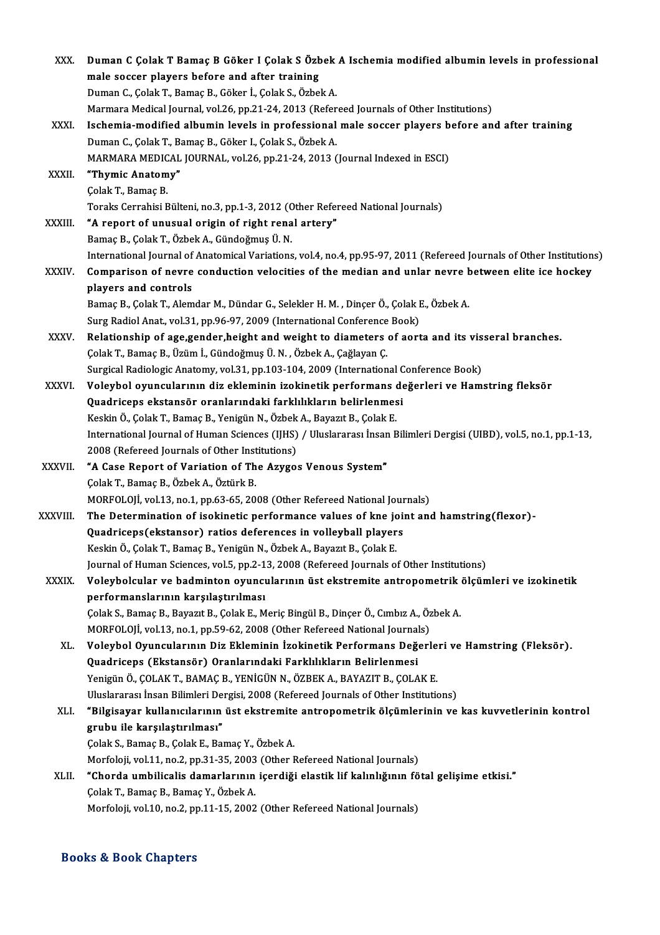| XXX.          | Duman C Çolak T Bamaç B Göker I Çolak S Özbek A Ischemia modified albumin levels in professional                                           |
|---------------|--------------------------------------------------------------------------------------------------------------------------------------------|
|               | male soccer players before and after training                                                                                              |
|               | Duman C., Çolak T., Bamaç B., Göker İ., Çolak S., Özbek A.                                                                                 |
|               | Marmara Medical Journal, vol.26, pp.21-24, 2013 (Refereed Journals of Other Institutions)                                                  |
| XXXI.         | Ischemia-modified albumin levels in professional male soccer players before and after training                                             |
|               | Duman C., Çolak T., Bamaç B., Göker I., Çolak S., Özbek A.                                                                                 |
|               | MARMARA MEDICAL JOURNAL, vol.26, pp.21-24, 2013 (Journal Indexed in ESCI)                                                                  |
| XXXII.        | "Thymic Anatomy"                                                                                                                           |
|               | Çolak T., Bamaç B.                                                                                                                         |
|               | Toraks Cerrahisi Bülteni, no.3, pp.1-3, 2012 (Other Refereed National Journals)                                                            |
| <b>XXXIII</b> | "A report of unusual origin of right renal artery"                                                                                         |
|               | Bamaç B., Çolak T., Özbek A., Gündoğmuş Ü. N.                                                                                              |
|               | International Journal of Anatomical Variations, vol.4, no.4, pp.95-97, 2011 (Refereed Journals of Other Institutions)                      |
| XXXIV.        | Comparison of nevre conduction velocities of the median and unlar nevre between elite ice hockey                                           |
|               | players and controls                                                                                                                       |
|               | Bamaç B., Çolak T., Alemdar M., Dündar G., Selekler H. M., Dinçer Ö., Çolak E., Özbek A.                                                   |
|               | Surg Radiol Anat, vol.31, pp.96-97, 2009 (International Conference Book)                                                                   |
| XXXV.         | Relationship of age,gender,height and weight to diameters of aorta and its visseral branches.                                              |
|               | Çolak T., Bamaç B., Üzüm İ., Gündoğmuş Ü. N., Özbek A., Çağlayan Ç.                                                                        |
|               | Surgical Radiologic Anatomy, vol.31, pp.103-104, 2009 (International Conference Book)                                                      |
| XXXVI.        | Voleybol oyuncularının diz ekleminin izokinetik performans değerleri ve Hamstring fleksör                                                  |
|               | Quadriceps ekstansör oranlarındaki farklılıkların belirlenmesi                                                                             |
|               | Keskin Ö., Çolak T., Bamaç B., Yenigün N., Özbek A., Bayazıt B., Çolak E.                                                                  |
|               | International Journal of Human Sciences (IJHS) / Uluslararası İnsan Bilimleri Dergisi (UIBD), vol.5, no.1, pp.1-13,                        |
|               | 2008 (Refereed Journals of Other Institutions)                                                                                             |
| <b>XXXVII</b> | "A Case Report of Variation of The Azygos Venous System"                                                                                   |
|               | Çolak T., Bamaç B., Özbek A., Öztürk B.                                                                                                    |
|               | MORFOLOJİ, vol.13, no.1, pp.63-65, 2008 (Other Refereed National Journals)                                                                 |
| XXXVIII.      | The Determination of isokinetic performance values of kne joint and hamstring (flexor)-                                                    |
|               | Quadriceps(ekstansor) ratios deferences in volleyball players<br>Keskin Ö., Çolak T., Bamaç B., Yenigün N., Özbek A., Bayazıt B., Çolak E. |
|               | Journal of Human Sciences, vol.5, pp.2-13, 2008 (Refereed Journals of Other Institutions)                                                  |
| <b>XXXIX</b>  | Voleybolcular ve badminton oyuncularının üst ekstremite antropometrik ölçümleri ve izokinetik                                              |
|               | performanslarının karşılaştırılması                                                                                                        |
|               | Çolak S., Bamaç B., Bayazıt B., Çolak E., Meriç Bingül B., Dinçer Ö., Cımbız A., Özbek A.                                                  |
|               | MORFOLOJİ, vol.13, no.1, pp.59-62, 2008 (Other Refereed National Journals)                                                                 |
| XL.           | Voleybol Oyuncularının Diz Ekleminin İzokinetik Performans Değerleri ve Hamstring (Fleksör).                                               |
|               | Quadriceps (Ekstansör) Oranlarındaki Farklılıkların Belirlenmesi                                                                           |
|               | Yenigün Ö., ÇOLAK T., BAMAÇ B., YENİGÜN N., ÖZBEK A., BAYAZIT B., ÇOLAK E.                                                                 |
|               | Uluslararası İnsan Bilimleri Dergisi, 2008 (Refereed Journals of Other Institutions)                                                       |
| XLI.          | "Bilgisayar kullanıcılarının üst ekstremite antropometrik ölçümlerinin ve kas kuvvetlerinin kontrol                                        |
|               | grubu ile karşılaştırılması"                                                                                                               |
|               | Çolak S., Bamaç B., Çolak E., Bamaç Y., Özbek A.                                                                                           |
|               | Morfoloji, vol.11, no.2, pp.31-35, 2003 (Other Refereed National Journals)                                                                 |
| XLII.         | "Chorda umbilicalis damarlarının içerdiği elastik lif kalınlığının fötal gelişime etkisi."                                                 |
|               | Çolak T., Bamaç B., Bamaç Y., Özbek A.                                                                                                     |
|               | Morfoloji, vol.10, no.2, pp.11-15, 2002 (Other Refereed National Journals)                                                                 |
|               |                                                                                                                                            |

### Books&Book Chapters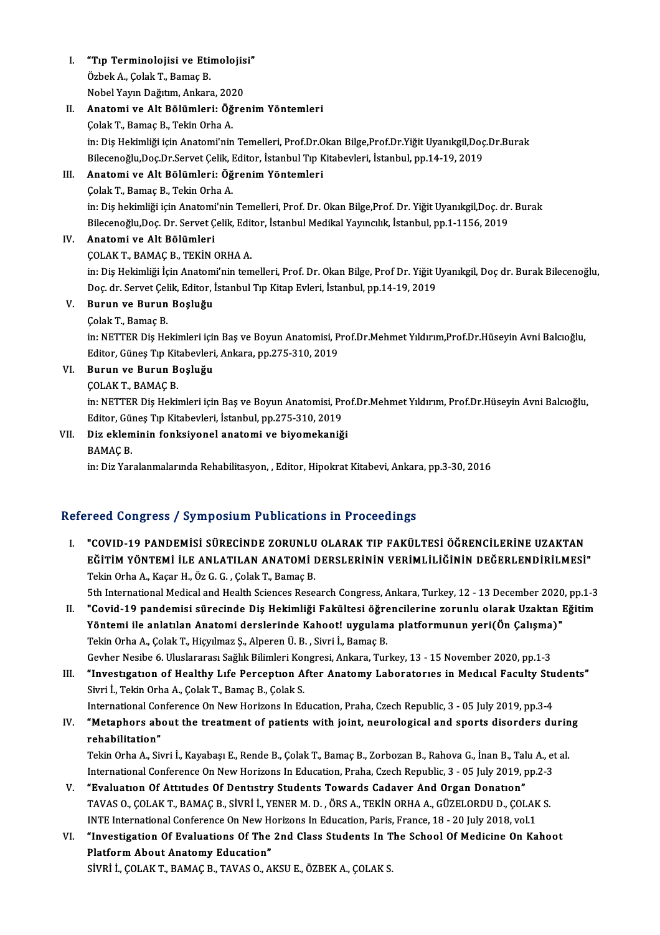- I. "Tıp Terminolojisi ve Etimolojisi" **"Tıp Terminolojisi ve Eti**n<br>Özbek A., Çolak T., Bamaç B.<br>Nobel Yayın Değitim, Ankarı **"Tıp Terminolojisi ve Etimolojis**<br>Özbek A., Çolak T., Bamaç B.<br>Nobel Yayın Dağıtım, Ankara, 2020<br>Anatami ve Alt Bölümleri: Öğre
- Özbek A., Çolak T., Bamaç B.<br>Nobel Yayın Dağıtım, Ankara, 2020<br>II. Anatomi ve Alt Bölümleri: Öğrenim Yöntemleri<br>Celak T. Bamaç B. Tekin Orba A. Nobel Yayın Dağıtım, Ankara, 20<mark>2</mark><br>**Anatomi ve Alt Bölümleri: Öğ**<br>Çolak T., Bamaç B., Tekin Orha A.<br>in: Dis Hekimliği için Anatomi'nin Anatomi ve Alt Bölümleri: Öğrenim Yöntemleri<br>Çolak T., Bamaç B., Tekin Orha A.<br>in: Diş Hekimliği için Anatomi'nin Temelleri, Prof.Dr.Okan Bilge,Prof.Dr.Yiğit Uyanıkgil,Doç.Dr.Burak<br>Bilosanoğlu Doş Dr Sarvat Çolik Editor, İ Çolak T., Bamaç B., Tekin Orha A.<br>in: Diş Hekimliği için Anatomi'nin Temelleri, Prof.Dr.Okan Bilge,Prof.Dr.Yiğit Uyanıkgil,Doç<br>Bilecenoğlu,Doç.Dr.Servet Çelik, Editor, İstanbul Tıp Kitabevleri, İstanbul, pp.14-19, 2019<br>Ana Bilecenoğlu, Doç.Dr.Servet Çelik, Editor, İstanbul Tıp Kitabevleri, İstanbul, pp.14-19, 2019

## III. Anatomi ve Alt Bölümleri: Öğrenim Yöntemleri<br>Colak T., Bamac B., Tekin Orha A.

Anatomi ve Alt Bölümleri: Öğrenim Yöntemleri<br>Çolak T., Bamaç B., Tekin Orha A.<br>in: Diş hekimliği için Anatomi'nin Temelleri, Prof. Dr. Okan Bilge,Prof. Dr. Yiğit Uyanıkgil,Doç. dr. Burak<br>Bilgeanoğlu Doç.Dr. Servet Çolik, E Çolak T., Bamaç B., Tekin Orha A.<br>in: Diş hekimliği için Anatomi'nin Temelleri, Prof. Dr. Okan Bilge,Prof. Dr. Yiğit Uyanıkgil,Doç. dr.<br>Bilecenoğlu,Doç. Dr. Servet Çelik, Editor, İstanbul Medikal Yayıncılık, İstanbul, pp.1 Bilecenoğlu, Doç. Dr. Servet Çelik, Editor, İstanbul Medikal Yayıncılık, İstanbul, pp.1-1156, 2019

## IV. Anatomi ve Alt Bölümleri

Anatomi ve Alt Bölümleri<br>ÇOLAK T., BAMAÇ B., TEKİN ORHA A.<br>in: Diş Hekimliği İçin Anatomi'nin temelleri, Prof. Dr. Okan Bilge, Prof Dr. Yiğit Uyanıkgil, Doç dr. Burak Bilecenoğlu,<br>Doç dr. Sawıst Çolik Editor, İstanbul Tın ÇOLAK T., BAMAÇ B., TEKİN ORHA A.<br>in: Diş Hekimliği İçin Anatomi'nin temelleri, Prof. Dr. Okan Bilge, Prof Dr. Yiğit L<br>Doç. dr. Servet Çelik, Editor, İstanbul Tıp Kitap Evleri, İstanbul, pp.14-19, 2019<br>Bunun ve Bunun Boslu Doc. dr. Servet Çelik, Editor, İstanbul Tıp Kitap Evleri, İstanbul, pp.14-19, 2019

## V. Burun ve Burun Boşluğu

in: NETTER Dis Hekimleri için Baş ve Boyun Anatomisi, Prof.Dr.Mehmet Yıldırım,Prof.Dr.Hüseyin Avni Balcıoğlu, Çolak T., Bamaç B.<br>in: NETTER Diş Hekimleri için Baş ve Boyun Anatomisi, P<br>Editor, Güneş Tıp Kitabevleri, Ankara, pp.275-310, 2019<br>Bunun ve Bunun Bosluğu Editor, Güneş Tıp Kit<br>Burun ve Burun B<br>ÇOLAK T., BAMAÇ B.<br>in: NETTER Dis Hoki

## VI. Burun ve Burun Boşluğu

in: NETTER Diş Hekimleri için Baş ve Boyun Anatomisi, Prof.Dr.Mehmet Yıldırım, Prof.Dr.Hüseyin Avni Balcıoğlu, Editor, Güneş Tıp Kitabevleri, İstanbul, pp.275-310, 2019 in: NETTER Diş Hekimleri için Baş ve Boyun Anatomisi, Pro<br>Editor, Güneş Tıp Kitabevleri, İstanbul, pp.275-310, 2019<br>VII. Diz ekleminin fonksiyonel anatomi ve biyomekaniği<br>PAMAC P

# Editor, Gül<br>Diz eklem<br>BAMAÇ B.<br>in: Diz Yor

BAMAÇ B.<br>in: Diz Yaralanmalarında Rehabilitasyon, , Editor, Hipokrat Kitabevi, Ankara, pp.3-30, 2016

### Refereed Congress / Symposium Publications in Proceedings

I. "COVID-19 PANDEMİSİ SÜRECİNDE ZORUNLU OLARAK TIP FAKÜLTESİ ÖĞRENCİLERİNE UZAKTAN EĞÜ ƏSHRESIS") OJ HIPOSIUM TUBHCULISINI HITTƏSSƏNINGSI<br>"COVID-19 PANDEMİSİ SÜRECİNDE ZORUNLU OLARAK TIP FAKÜLTESİ ÖĞRENCİLERİNE UZAKTAN<br>EĞİTİM YÖNTEMİ İLE ANLATILAN ANATOMİ DERSLERİNİN VERİMLİLİĞİNİN DEĞERLENDİRİLMESİ" "COVID-19 PANDEMISI SÜRECINDE ZORUNLU<br>EĞİTİM YÖNTEMI İLE ANLATILAN ANATOMI I<br>Tekin Orha A., Kaçar H., Öz G. G. , Çolak T., Bamaç B.<br>Eth International Medical and Health Sciences Besse EĞİTİM YÖNTEMİ İLE ANLATILAN ANATOMİ DERSLERİNİN VERİMLİLİĞİNİN DEĞERLENDİRİLMESİ"<br>Tekin Orha A., Kaçar H., Öz G. G. , Çolak T., Bamaç B.<br>5th International Medical and Health Sciences Research Congress, Ankara, Turkey, 12

- Tekin Orha A., Kaçar H., Öz G. G. , Çolak T., Bamaç B.<br>5th International Medical and Health Sciences Research Congress, Ankara, Turkey, 12 13 December 2020, pp.1-3<br>11. "Covid-19 pandemisi sürecinde Diş Hekimliği Fakü 5th International Medical and Health Sciences Research Congress, Ankara, Turkey, 12 - 13 December 2020<br>"Covid-19 pandemisi sürecinde Diş Hekimliği Fakültesi öğrencilerine zorunlu olarak Uzaktan I<br>Yöntemi ile anlatılan Anat II. "Covid-19 pandemisi sürecinde Diş Hekimliği Fakültesi öğrencilerine zorunlu olarak Uzaktan Eğitim<br>Yöntemi ile anlatılan Anatomi derslerinde Kahoot! uygulama platformunun yeri(Ön Çalışma)"<br>Tekin Orha A., Çolak T., Hiçyı Yöntemi ile anlatılan Anatomi derslerinde Kahoot! uygulama platformunun yeri(Ön Çalışma)"
- Tekin Orha A., Çolak T., Hiçyılmaz Ş., Alperen Ü. B. , Sivri İ., Bamaç B.<br>Gevher Nesibe 6. Uluslararası Sağlık Bilimleri Kongresi, Ankara, Turkey, 13 15 November 2020, pp.1-3<br>"III. "Investigation of Healthy Life Percepti Gevher Nesibe 6. Uluslararası Sağlık Bilimleri Kor<br>"Investigation of Healthy Life Perception A.<br>Sivri İ., Tekin Orha A., Çolak T., Bamaç B., Çolak S.<br>International Conference On New Herizons In Ed "Investigation of Healthy Life Perception After Anatomy Laboratories in Medical Faculty Stu<br>Sivri İ., Tekin Orha A., Çolak T., Bamaç B., Çolak S.<br>International Conference On New Horizons In Education, Praha, Czech Republic International Conference On New Horizons In Education, Praha, Czech Republic, 3 - 05 July 2019, pp.3-4
- Sivri İ., Tekin Orha A., Çolak T., Bamaç B., Çolak S.<br>International Conference On New Horizons In Education, Praha, Czech Republic, 3 05 July 2019, pp.3-4<br>IV. "Metaphors about the treatment of patients with joint, neurol "Metaphors about the treatment of patients with joint, neurological and sports disorders durin<br>rehabilitation"<br>Tekin Orha A., Sivri İ., Kayabaşı E., Rende B., Çolak T., Bamaç B., Zorbozan B., Rahova G., İnan B., Talu A., e

rehabilitation"<br>Tekin Orha A., Sivri İ., Kayabaşı E., Rende B., Çolak T., Bamaç B., Zorbozan B., Rahova G., İnan B., Talu A., et<br>International Conference On New Horizons In Education, Praha, Czech Republic, 3 - 05 July 201 Tekin Orha A., Sivri İ., Kayabaşı E., Rende B., Çolak T., Bamaç B., Zorbozan B., Rahova G., İnan B., Tal<br>International Conference On New Horizons In Education, Praha, Czech Republic, 3 - 05 July 2019, p<br>V. "Evaluation Of A

- International Conference On New Horizons In Education, Praha, Czech Republic, 3 05 July 2019, pp.2-3<br>V. "Evaluation Of Attitudes Of Dentistry Students Towards Cadaver And Organ Donation"<br>TAVAS O., ÇOLAK T., BAMAÇ B., SİV TAVAS O., ÇOLAK T., BAMAÇ B., SİVRİ İ., YENER M. D., ÖRS A., TEKİN ORHA A., GÜZELORDU D., ÇOLAK S. TAVAS O., ÇOLAK T., BAMAÇ B., SİVRİ İ., YENER M. D. , ÖRS A., TEKİN ORHA A., GÜZELORDU D., ÇOLAK S.<br>INTE International Conference On New Horizons In Education, Paris, France, 18 - 20 July 2018, vol.1<br>VI. "Investigation Of
- INTE International Conference On New He<br>"Investigation Of Evaluations Of The<br>Platform About Anatomy Education"<br>Sivpi L.COLAK.T. RAMAC B. TAVAS O.A. "Investigation Of Evaluations Of The 2nd Class Students In T<br>Platform About Anatomy Education"<br>SİVRİ İ., ÇOLAK T., BAMAÇ B., TAVAS O., AKSU E., ÖZBEK A., ÇOLAK S.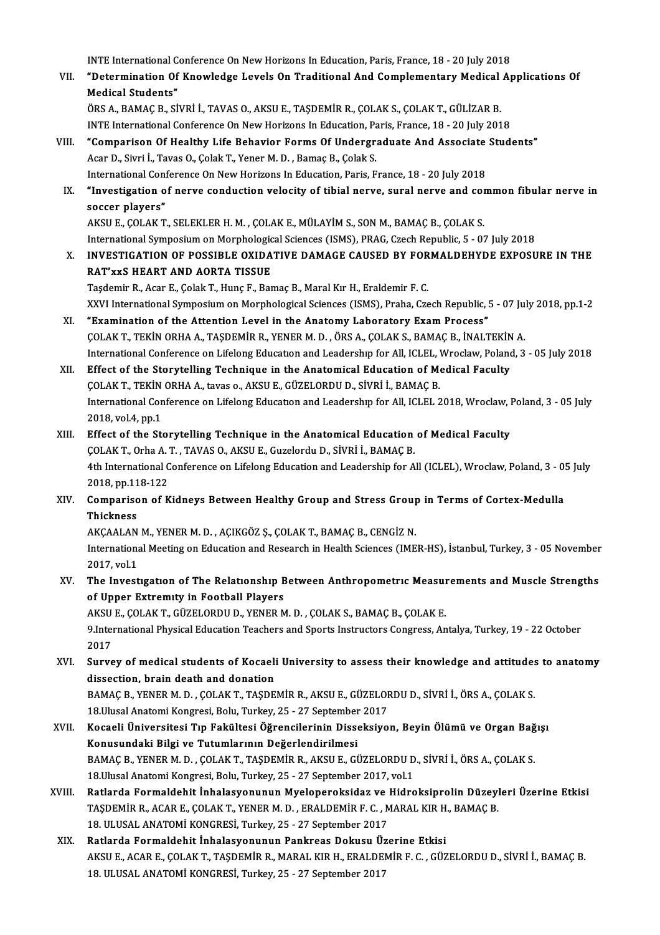INTE International Conference On New Horizons In Education, Paris, France, 18 - 20 July 2018<br>"Determination Of Knowledge Levels On Traditional And Complementary Medical Ar

VII. "Determination Of Knowledge Levels On Traditional And Complementary Medical Applications Of<br>Medical Students" **INTE International C**<br>**"Determination Of**<br>Medical Students"<br>ÖPS A. PAMAC P. ST

ÖRSA.,BAMAÇB.,SİVRİ İ.,TAVASO.,AKSUE.,TAŞDEMİRR.,ÇOLAKS.,ÇOLAKT.,GÜLİZARB. INTE International Conference On New Horizons In Education, Paris, France, 18 - 20 July 2018 ÖRS A., BAMAÇ B., SİVRİ İ., TAVAS O., AKSU E., TAŞDEMİR R., ÇOLAK S., ÇOLAK T., GÜLİZAR B.<br>INTE International Conference On New Horizons In Education, Paris, France, 18 - 20 July 2018<br>VIII. "Comparison Of Healthy Life Beha

Acar D., Sivri İ., Tavas O., Çolak T., Yener M. D. , Bamaç B., Çolak S.<br>International Conference On New Horizons In Education, Paris, France, 18 - 20 July 2018 "Comparison Of Healthy Life Behavior Forms Of Undergraduate And Associate<br>Acar D., Sivri İ., Tavas O., Çolak T., Yener M. D. , Bamaç B., Çolak S.<br>International Conference On New Horizons In Education, Paris, France, 18 - 2 Acar D., Sivri İ., Tavas O., Çolak T., Yener M. D. , Bamaç B., Çolak S.<br>International Conference On New Horizons In Education, Paris, France, 18 - 20 July 2018<br>IX. "Investigation of nerve conduction velocity of tibial nerv

## International Contraction<br>"Investigation of<br>soccer players"<br>AVSUE COLAVT "Investigation of nerve conduction velocity of tibial nerve, sural nerve and consocer players"<br>soccer players"<br>AKSU E., ÇOLAK T., SELEKLER H. M. , ÇOLAK E., MÜLAYİM S., SON M., BAMAÇ B., ÇOLAK S.<br>International Sumnosium en

soccer players"<br>AKSU E., ÇOLAK T., SELEKLER H. M. , ÇOLAK E., MÜLAYİM S., SON M., BAMAÇ B., ÇOLAK S.<br>International Symposium on Morphological Sciences (ISMS), PRAG, Czech Republic, 5 - 07 July 2018

X. INVESTIGATION OF POSSIBLE OXIDATIVE DAMAGE CAUSED BY FORMALDEHYDE EXPOSURE IN THE RAT'xxS HEART AND AORTA TISSUE

Taşdemir R., Acar E., Çolak T., Hunç F., Bamaç B., Maral Kır H., Eraldemir F. C. XXVI International Symposium on Morphological Sciences (ISMS), Praha, Czech Republic, 5 - 07 July 2018, pp.1-2

- XI. "Examination of the Attention Level in the Anatomy Laboratory ExamProcess" XXVI International Symposium on Morphological Sciences (ISMS), Praha, Czech Republic, 5 - 07 Ju<br>"Examination of the Attention Level in the Anatomy Laboratory Exam Process"<br>COLAK T., TEKİN ORHA A., TAŞDEMİR R., YENER M. D. "Examination of the Attention Level in the Anatomy Laboratory Exam Process"<br>COLAK T., TEKIN ORHA A., TAŞDEMIR R., YENER M. D. , ÖRS A., ÇOLAK S., BAMAÇ B., İNALTEKİN A.<br>International Conference on Lifelong Education and Le COLAK T., TEKIN ORHA A., TAŞDEMIR R., YENER M. D. , ÖRS A., ÇOLAK S., BAMAÇ B., İNALTEKIN<br>International Conference on Lifelong Education and Leadership for All, ICLEL, Wroclaw, Poland<br>XII. Effect of the Storytelling Techni
- International Conference on Lifelong Education and Leadership for All, ICLEL, V.<br>Effect of the Storytelling Technique in the Anatomical Education of Me<br>COLAK T., TEKİN ORHA A., tavas o., AKSU E., GÜZELORDU D., SİVRİ İ., BA XII. Effect of the Storytelling Technique in the Anatomical Education of Medical Faculty<br>COLAK T., TEKIN ORHA A., tavas o., AKSU E., GÜZELORDU D., SIVRI I., BAMAC B.<br>International Conference on Lifelong Education and Leade 2018, vol.4, pp.1 International Conference on Lifelong Education and Leadership for All, ICLEL 2018, Wroclaw, I<br>2018, vol.4, pp.1<br>XIII. Effect of the Storytelling Technique in the Anatomical Education of Medical Faculty<br>COLAKT, Orba A.T., T
- 2018, vol.4, pp.1<br>Effect of the Storytelling Technique in the Anatomical Education<br>ÇOLAK T., Orha A. T. , TAVAS O., AKSU E., Guzelordu D., SİVRİ İ., BAMAÇ B.<br>4th International Conference on Lifelang Education and Leadershi 4th International Conference on Lifelong Education and Leadership for All (ICLEL), Wroclaw, Poland, 3 - 05 July<br>2018, pp.118-122 ÇOLAK T., Orha A. T., TAVAS O., AKSU E., Guzelordu D., SİVRİ İ., BAMAÇ B. 4th International Conference on Lifelong Education and Leadership for All (ICLEL), Wroclaw, Poland, 3 - 0!<br>2018, pp.118-122<br>XIV. Comparison of Kidneys Between Healthy Group and Stress Group in Terms of Cortex-Medulla<br>Thisk

## 2018, pp.11<br>Compariso<br>Thickness Comparison of Kidneys Between Healthy Group and Stress Group<br>Thickness<br>AKÇAALAN M., YENER M. D. , AÇIKGÖZ Ş., ÇOLAK T., BAMAÇ B., CENGİZ N.<br>International Meeting on Education and Bessensh in Health Sciences (IME

Thickness<br>AKÇAALAN M., YENER M. D. , AÇIKGÖZ Ş., ÇOLAK T., BAMAÇ B., CENGİZ N.<br>International Meeting on Education and Research in Health Sciences (IMER-HS), İstanbul, Turkey, 3 - 05 November<br>2017, vol.1 AKÇAALAN M., YENER M. D., AÇIKGÖZ Ş., ÇOLAK T., BAMAÇ B., CENGİZ N. International Meeting on Education and Research in Health Sciences (IMER-HS), İstanbul, Turkey, 3 - 05 November<br>2017, vol.1<br>XV. The Investigation of The Relationship Between Anthropometric Measurements and Muscle Strengths

## 2017, vol.1<br>The Investigation of The Relationship B<br>of Upper Extremity in Football Players<br>AKSUE COLAKT CÜZELOPDUD, VENED M The Investigation of The Relationship Between Anthropometric Measure<br>of Upper Extremity in Football Players<br>AKSU E., ÇOLAK T., GÜZELORDU D., YENER M. D. , ÇOLAK S., BAMAÇ B., ÇOLAK E.<br>9 International Physical Education Tea

of Upper Extremity in Football Players<br>AKSU E., ÇOLAK T., GÜZELORDU D., YENER M. D. , ÇOLAK S., BAMAÇ B., ÇOLAK E.<br>9.International Physical Education Teachers and Sports Instructors Congress, Antalya, Turkey, 19 - 22 Octob AKSU<br>9.Inter<br>2017<br>Surve 9.International Physical Education Teachers and Sports Instructors Congress, Antalya, Turkey, 19 - 22 October<br>2017<br>XVI. Survey of medical students of Kocaeli University to assess their knowledge and attitudes to anatomy<br>di

2017<br>Survey of medical students of Kocaeli<br>dissection, brain death and donation<br>RAMAC R. VENER M. D., COLAK T. TASDE Survey of medical students of Kocaeli University to assess their knowledge and attitudes<br>dissection, brain death and donation<br>BAMAÇ B., YENER M. D. , ÇOLAK T., TAŞDEMİR R., AKSU E., GÜZELORDU D., SİVRİ İ., ÖRS A., ÇOLAK S. dissection, brain death and donation<br>BAMAÇ B., YENER M. D., ÇOLAK T., TAŞDEMİR R., AKSU E., GÜZELORDU D., SİVRİ İ., ÖRS A., ÇOLAK S.

- BAMAÇ B., YENER M. D. , ÇOLAK T., TAŞDEMİR R., AKSU E., GÜZELORDU D., SİVRİ İ., ÖRS A., ÇOLAK S.<br>18.Ulusal Anatomi Kongresi, Bolu, Turkey, 25 27 September 2017<br>XVII. Kocaeli Üniversitesi Tıp Fakültesi Öğrencilerinin Diss 18.Ulusal Anatomi Kongresi, Bolu, Turkey, 25 - 27 September 2017<br>Kocaeli Üniversitesi Tıp Fakültesi Öğrencilerinin Disseksiyo<br>Konusundaki Bilgi ve Tutumlarının Değerlendirilmesi Kocaeli Üniversitesi Tıp Fakültesi Öğrencilerinin Disseksiyon, Beyin Ölümü ve Organ Bağ<br>Konusundaki Bilgi ve Tutumlarının Değerlendirilmesi<br>BAMAÇ B., YENER M. D. , ÇOLAK T., TAŞDEMİR R., AKSU E., GÜZELORDU D., SİVRİ İ., ÖR BAMAÇ B., YENER M. D., ÇOLAK T., TAŞDEMİR R., AKSU E., GÜZELORDU D., SİVRİ İ., ÖRS A., ÇOLAK S.<br>18.Ulusal Anatomi Kongresi, Bolu, Turkey, 25 - 27 September 2017, vol.1
- XVIII. Ratlarda Formaldehit İnhalasyonunun Myeloperoksidaz ve Hidroksiprolin Düzeyleri Üzerine Etkisi 18.Ulusal Anatomi Kongresi, Bolu, Turkey, 25 - 27 September 2017, vol.1<br>Ratlarda Formaldehit İnhalasyonunun Myeloperoksidaz ve Hidroksiprolin Düzeyl<br>TAŞDEMİR R., ACAR E., ÇOLAK T., YENER M. D. , ERALDEMİR F. C. , MARAL KIR Ratlarda Formaldehit İnhalasyonunun Myeloperoksidaz ve 1<br>TAŞDEMİR R., ACAR E., ÇOLAK T., YENER M. D. , ERALDEMİR F. C. , M<br>18. ULUSAL ANATOMİ KONGRESİ, Turkey, 25 - 27 September 2017<br>Patlarda Formaldabit İnhalasyonunun Pan TAŞDEMİR R., ACAR E., ÇOLAK T., YENER M. D., ERALDEMİR F. C., MARAL KIR H<br>18. ULUSAL ANATOMİ KONGRESİ, Turkey, 25 - 27 September 2017<br>XIX. Ratlarda Formaldehit İnhalasyonunun Pankreas Dokusu Üzerine Etkisi
- 18. ULUSAL ANATOMİ KONGRESİ, Turkey, 25 27 September 2017<br>Ratlarda Formaldehit İnhalasyonunun Pankreas Dokusu Üzerine Etkisi<br>AKSU E., ACAR E., ÇOLAK T., TAŞDEMİR R., MARAL KIR H., ERALDEMİR F. C. , GÜZELORDU D., SİVRİ İ. 18.ULUSALANATOMİKONGRESİ,Turkey,25 -27 September 2017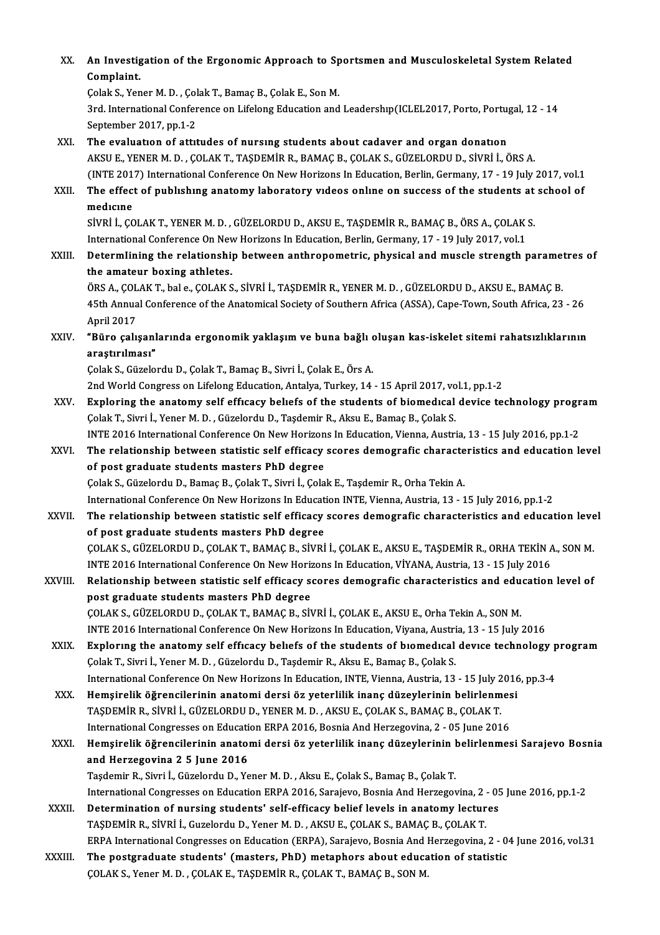| XX.     | An Investigation of the Ergonomic Approach to Sportsmen and Musculoskeletal System Related<br>Complaint.                                                                                                     |
|---------|--------------------------------------------------------------------------------------------------------------------------------------------------------------------------------------------------------------|
|         | Çolak S., Yener M. D., Çolak T., Bamaç B., Çolak E., Son M.                                                                                                                                                  |
|         | 3rd. International Conference on Lifelong Education and Leadership(ICLEL2017, Porto, Portugal, 12 - 14<br>September 2017, pp 1-2                                                                             |
| XXI.    | The evaluation of attitudes of nursing students about cadaver and organ donation                                                                                                                             |
|         | AKSU E., YENER M. D., ÇOLAK T., TAŞDEMİR R., BAMAÇ B., ÇOLAK S., GÜZELORDU D., SİVRİ İ., ÖRS A.                                                                                                              |
|         | (INTE 2017) International Conference On New Horizons In Education, Berlin, Germany, 17 - 19 July 2017, vol.1                                                                                                 |
| XXII.   | The effect of publishing anatomy laboratory videos online on success of the students at school of                                                                                                            |
|         | medicine                                                                                                                                                                                                     |
|         | SİVRİ İ., ÇOLAK T., YENER M. D., GÜZELORDU D., AKSU E., TAŞDEMİR R., BAMAÇ B., ÖRS A., ÇOLAK S.                                                                                                              |
|         | International Conference On New Horizons In Education, Berlin, Germany, 17 - 19 July 2017, vol.1                                                                                                             |
| XXIII.  | Determlining the relationship between anthropometric, physical and muscle strength parametres of                                                                                                             |
|         | the amateur boxing athletes.                                                                                                                                                                                 |
|         | ÖRS A., ÇOLAK T., bal e., ÇOLAK S., SİVRİ İ., TAŞDEMİR R., YENER M. D. , GÜZELORDU D., AKSU E., BAMAÇ B.                                                                                                     |
|         | 45th Annual Conference of the Anatomical Society of Southern Africa (ASSA), Cape-Town, South Africa, 23 - 26                                                                                                 |
|         | April 2017                                                                                                                                                                                                   |
| XXIV.   | "Büro çalışanlarında ergonomik yaklaşım ve buna bağlı oluşan kas-iskelet sitemi rahatsızlıklarının<br>araștırılması"                                                                                         |
|         | Çolak S., Güzelordu D., Çolak T., Bamaç B., Sivri İ., Çolak E., Örs A.                                                                                                                                       |
|         | 2nd World Congress on Lifelong Education, Antalya, Turkey, 14 - 15 April 2017, vol.1, pp.1-2                                                                                                                 |
| XXV.    | Exploring the anatomy self efficacy beliefs of the students of biomedical device technology program                                                                                                          |
|         | Çolak T., Sivri İ., Yener M. D., Güzelordu D., Taşdemir R., Aksu E., Bamaç B., Çolak S.                                                                                                                      |
|         | INTE 2016 International Conference On New Horizons In Education, Vienna, Austria, 13 - 15 July 2016, pp.1-2                                                                                                  |
| XXVI.   | The relationship between statistic self efficacy scores demografic characteristics and education level                                                                                                       |
|         | of post graduate students masters PhD degree                                                                                                                                                                 |
|         | Çolak S., Güzelordu D., Bamaç B., Çolak T., Sivri İ., Çolak E., Taşdemir R., Orha Tekin A.                                                                                                                   |
|         | International Conference On New Horizons In Education INTE, Vienna, Austria, 13 - 15 July 2016, pp.1-2                                                                                                       |
| XXVII.  | The relationship between statistic self efficacy scores demografic characteristics and education level                                                                                                       |
|         | of post graduate students masters PhD degree                                                                                                                                                                 |
|         | ÇOLAK S., GÜZELORDU D., ÇOLAK T., BAMAÇ B., SİVRİ İ., ÇOLAK E., AKSU E., TAŞDEMİR R., ORHA TEKİN A., SON M.                                                                                                  |
| XXVIII. | INTE 2016 International Conference On New Horizons In Education, VİYANA, Austria, 13 - 15 July 2016<br>Relationship between statistic self efficacy scores demografic characteristics and education level of |
|         | post graduate students masters PhD degree                                                                                                                                                                    |
|         | ÇOLAK S., GÜZELORDU D., ÇOLAK T., BAMAÇ B., SİVRİ İ., ÇOLAK E., AKSU E., Orha Tekin A., SON M.                                                                                                               |
|         | INTE 2016 International Conference On New Horizons In Education, Viyana, Austria, 13 - 15 July 2016                                                                                                          |
| XXIX.   | Exploring the anatomy self efficacy beliefs of the students of biomedical device technology program                                                                                                          |
|         | Çolak T., Sivri İ., Yener M. D., Güzelordu D., Taşdemir R., Aksu E., Bamaç B., Çolak S.                                                                                                                      |
|         | International Conference On New Horizons In Education, INTE, Vienna, Austria, 13 - 15 July 2016, pp.3-4                                                                                                      |
| XXX.    | Hemşirelik öğrencilerinin anatomi dersi öz yeterlilik inanç düzeylerinin belirlenmesi                                                                                                                        |
|         | TAŞDEMİR R., SİVRİ İ., GÜZELORDU D., YENER M. D. , AKSU E., ÇOLAK S., BAMAÇ B., ÇOLAK T.                                                                                                                     |
|         | International Congresses on Education ERPA 2016, Bosnia And Herzegovina, 2 - 05 June 2016                                                                                                                    |
| XXXI.   | Hemşirelik öğrencilerinin anatomi dersi öz yeterlilik inanç düzeylerinin belirlenmesi Sarajevo Bosnia                                                                                                        |
|         | and Herzegovina 2 5 June 2016                                                                                                                                                                                |
|         | Taşdemir R., Sivri İ., Güzelordu D., Yener M. D. , Aksu E., Çolak S., Bamaç B., Çolak T.                                                                                                                     |
|         | International Congresses on Education ERPA 2016, Sarajevo, Bosnia And Herzegovina, 2 - 05 June 2016, pp.1-2                                                                                                  |
| XXXII.  | Determination of nursing students' self-efficacy belief levels in anatomy lectures<br>TAŞDEMİR R., SİVRİ İ., Guzelordu D., Yener M. D. , AKSU E., ÇOLAK S., BAMAÇ B., ÇOLAK T.                               |
|         | ERPA International Congresses on Education (ERPA), Sarajevo, Bosnia And Herzegovina, 2 - 04 June 2016, vol.31                                                                                                |
| XXXIII. | The postgraduate students' (masters, PhD) metaphors about education of statistic                                                                                                                             |
|         | ÇOLAK S., Yener M. D., ÇOLAK E., TAŞDEMİR R., ÇOLAK T., BAMAÇ B., SON M.                                                                                                                                     |
|         |                                                                                                                                                                                                              |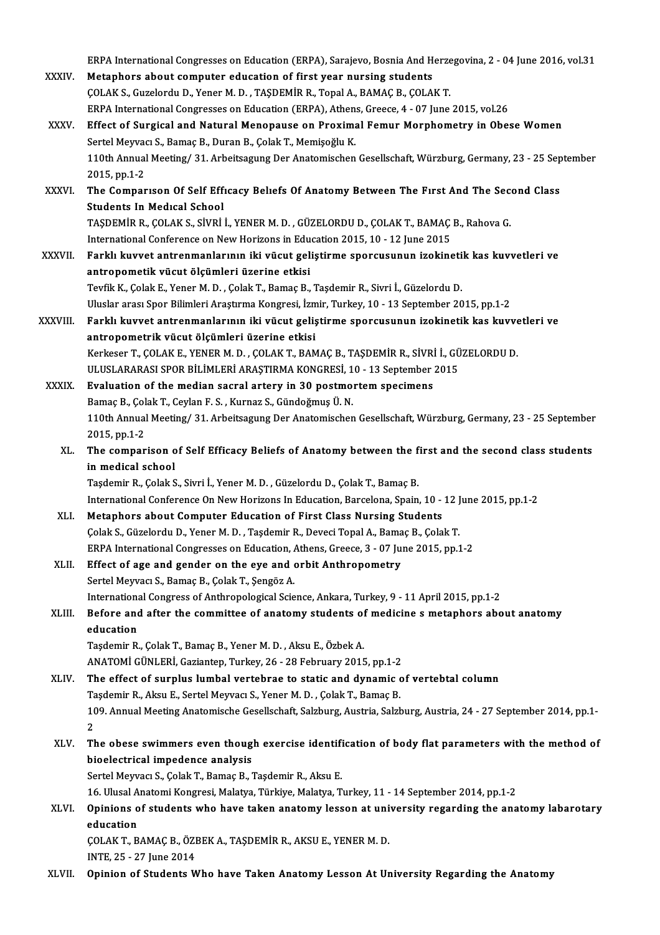ERPA International Congresses on Education (ERPA), Sarajevo, Bosnia And Herzegovina, 2 - 04 June 2016, vol.31<br>Metaphors about computer advestion of finst year nunsing students ERPA International Congresses on Education (ERPA), Sarajevo, Bosnia And H<br>XXXIV. Metaphors about computer education of first year nursing students<br>COLAKS, Curelardy D. Vaner M. D. TASDEMIR R. Topel A. BAMAC B. COLA ERPA International Congresses on Education (ERPA), Sarajevo, Bosnia And Herze<br>Metaphors about computer education of first year nursing students<br>ÇOLAK S., Guzelordu D., Yener M. D. , TAŞDEMİR R., Topal A., BAMAÇ B., ÇOLAK T Metaphors about computer education of first year nursing students<br>COLAK S., Guzelordu D., Yener M. D. , TAŞDEMİR R., Topal A., BAMAÇ B., COLAK T.<br>ERPA International Congresses on Education (ERPA), Athens, Greece, 4 - 07 Ju COLAK S., Guzelordu D., Yener M. D. , TAŞDEMİR R., Topal A., BAMAÇ B., COLAK T.<br>ERPA International Congresses on Education (ERPA), Athens, Greece, 4 - 07 June 2015, vol.26<br>XXXV. Effect of Surgical and Natural Menopause on ERPA International Congresses on Education (ERPA), Athen:<br>Effect of Surgical and Natural Menopause on Proxima<br>Sertel Meyvacı S., Bamaç B., Duran B., Çolak T., Memişoğlu K.<br>110th Annual Meeting (21. Arheitsagung Der Anatomi Effect of Surgical and Natural Menopause on Proximal Femur Morphometry in Obese Women<br>Sertel Meyvacı S., Bamaç B., Duran B., Çolak T., Memişoğlu K.<br>110th Annual Meeting/ 31. Arbeitsagung Der Anatomischen Gesellschaft, Würz Sertel Meyva<br>110th Annual<br>2015, pp.1-2<br>The Comnar 110th Annual Meeting/ 31. Arbeitsagung Der Anatomischen Gesellschaft, Würzburg, Germany, 23 - 25 Sep<br>2015, pp.1-2<br>XXXVI. The Comparison Of Self Efficacy Beliefs Of Anatomy Between The First And The Second Class 2015, pp.1-2<br>The Comparison Of Self Eff<br>Students In Medical School<br>TASDEMIP P. COLAKS. SiVPL The Comparison Of Self Efficacy Beliefs Of Anatomy Between The First And The Secondents In Medical School<br>Students In Medical School<br>TAŞDEMİR R., ÇOLAK S., SİVRİ İ., YENER M. D. , GÜZELORDU D., ÇOLAK T., BAMAÇ B., Rahova G Students In Medical School<br>TAŞDEMİR R., ÇOLAK S., SİVRİ İ., YENER M. D. , GÜZELORDU D., ÇOLAK T., BAMAÇ B., Rahova G.<br>International Conference on New Horizons in Education 2015, 10 - 12 June 2015 TAŞDEMİR R., ÇOLAK S., SİVRİ İ., YENER M. D. , GÜZELORDU D., ÇOLAK T., BAMAÇ B., Rahova G.<br>International Conference on New Horizons in Education 2015, 10 - 12 June 2015<br>XXXVII. Farklı kuvvet antrenmanlarının iki vücut geli antropometik vücut ölçümleri üzerine etkisi<br>Tevfik K., Çolak E., Yener M. D. , Çolak T., Bamaç B., Taşdemir R., Sivri İ., Güzelordu D. Farklı kuvvet antrenmanlarının iki vücut geliştirme sporcusunun izokineti<br>antropometik vücut ölçümleri üzerine etkisi<br>Tevfik K., Çolak E., Yener M. D. , Çolak T., Bamaç B., Taşdemir R., Sivri İ., Güzelordu D.<br>Uluslar arası antropometik vücut ölçümleri üzerine etkisi<br>Tevfik K., Çolak E., Yener M. D. , Çolak T., Bamaç B., Taşdemir R., Sivri İ., Güzelordu D.<br>Uluslar arası Spor Bilimleri Araştırma Kongresi, İzmir, Turkey, 10 - 13 September 2015, Tevfik K., Çolak E., Yener M. D. , Çolak T., Bamaç B., Taşdemir R., Sivri İ., Güzelordu D.<br>Uluslar arası Spor Bilimleri Araştırma Kongresi, İzmir, Turkey, 10 - 13 September 2015, pp.1-2<br>XXXVIII. Farklı kuvvet antrenmanları Uluslar arası Spor Bilimleri Araştırma Kongresi, İzm<br>Farklı kuvvet antrenmanlarının iki vücut geliş<br>antropometrik vücut ölçümleri üzerine etkisi<br>Karkasar T. COLAK E. VENER M. D. COLAK T. BAN Farklı kuvvet antrenmanlarının iki vücut geliştirme sporcusunun izokinetik kas kuvve<br>antropometrik vücut ölçümleri üzerine etkisi<br>Kerkeser T., ÇOLAK E., YENER M. D. , ÇOLAK T., BAMAÇ B., TAŞDEMİR R., SİVRİ İ., GÜZELORDU D. antropometrik vücut ölçümleri üzerine etkisi<br>Kerkeser T., ÇOLAK E., YENER M. D. , ÇOLAK T., BAMAÇ B., TAŞDEMİR R., SİVRİ İ., GÜ<br>ULUSLARARASI SPOR BİLİMLERİ ARAŞTIRMA KONGRESİ, 10 - 13 September 2015<br>Fyalustian of the media Kerkeser T., ÇOLAK E., YENER M. D., ÇOLAK T., BAMAÇ B., TAŞDEMİR R., SİVRİ<br>ULUSLARARASI SPOR BİLİMLERİ ARAŞTIRMA KONGRESİ, 10 - 13 September<br>XXXIX. Evaluation of the median sacral artery in 30 postmortem specimens<br>Bamaç B. ULUSLARARASI SPOR BİLİMLERİ ARAŞTIRMA KONGRESİ, 1<br>Evaluation of the median sacral artery in 30 postmo<br>Bamaç B., Çolak T., Ceylan F. S. , Kurnaz S., Gündoğmuş Ü. N.<br>110th Annual Meeting ( 31 Arbeitsagung Der Anatomischen Evaluation of the median sacral artery in 30 postmortem specimens<br>Bamaç B., Çolak T., Ceylan F. S. , Kurnaz S., Gündoğmuş Ü. N.<br>110th Annual Meeting/ 31. Arbeitsagung Der Anatomischen Gesellschaft, Würzburg, Germany, 23 - Bamaç B., Çol<br>110th Annual<br>2015, pp.1-2<br>The comnar 110th Annual Meeting/ 31. Arbeitsagung Der Anatomischen Gesellschaft, Würzburg, Germany, 23 - 25 September<br>2015, pp.1-2<br>XL. The comparison of Self Efficacy Beliefs of Anatomy between the first and the second class students 2015, pp.1-2<br>The comparison o<br>in medical school<br>Taadamir B. Calak S The comparison of Self Efficacy Beliefs of Anatomy between the f<br>in medical school<br>Taşdemir R., Çolak S., Sivri İ., Yener M.D. , Güzelordu D., Çolak T., Bamaç B.<br>International Conference On New Herizons In Education, Barce in medical school<br>Taşdemir R., Çolak S., Sivri İ., Yener M. D. , Güzelordu D., Çolak T., Bamaç B.<br>International Conference On New Horizons In Education, Barcelona, Spain, 10 - 12 June 2015, pp.1-2 Taşdemir R., Çolak S., Sivri İ., Yener M. D., Güzelordu D., Çolak T., Bamaç B.<br>International Conference On New Horizons In Education, Barcelona, Spain, 10 -<br>XLI. Metaphors about Computer Education of First Class Nursing St International Conference On New Horizons In Education, Barcelona, Spain, 10 - 12 J<br>Metaphors about Computer Education of First Class Nursing Students<br>Çolak S., Güzelordu D., Yener M. D. , Taşdemir R., Deveci Topal A., Bama Metaphors about Computer Education of First Class Nursing Students<br>Colak S., Güzelordu D., Yener M. D. , Taşdemir R., Deveci Topal A., Bamaç B., Çolak T.<br>ERPA International Congresses on Education, Athens, Greece, 3 - 07 J Colak S., Güzelordu D., Yener M. D. , Taşdemir R., Deveci Topal A., Bamaç B., Colak T.<br>ERPA International Congresses on Education, Athens, Greece, 3 - 07 June 2015, pp.1-2<br>XLII. Effect of age and gender on the eye and orbi Effect of age and gender on the eye and orbit Anthropometry International Congress of Anthropological Science, Ankara, Turkey, 9 - 11 April 2015, pp.1-2 Sertel Meyvacı S., Bamaç B., Çolak T., Şengöz A.<br>International Congress of Anthropological Science, Ankara, Turkey, 9 - 11 April 2015, pp.1-2<br>XLIII. Before and after the committee of anatomy students of medicine s metaphor Internation<br>Before and<br>education<br>Teademin P Before and after the committee of anatomy students of<br>education<br>Taşdemir R., Çolak T., Bamaç B., Yener M. D. , Aksu E., Özbek A.<br>ANATOMİ CÜNI EPİ Caziantan Turkay 26 - 28 February 2015 education<br>Taşdemir R., Çolak T., Bamaç B., Yener M. D. , Aksu E., Özbek A.<br>ANATOMİ GÜNLERİ, Gaziantep, Turkey, 26 - 28 February 2015, pp.1-2<br>The effect of surnlus lumbal vertebree te statis and dynamis e Taşdemir R., Çolak T., Bamaç B., Yener M. D. , Aksu E., Özbek A.<br>ANATOMI GÜNLERI, Gaziantep, Turkey, 26 - 28 February 2015, pp.1-2<br>XLIV. The effect of surplus lumbal vertebrae to static and dynamic of vertebtal column<br> ANATOMİ GÜNLERİ, Gaziantep, Turkey, 26 - 28 February 2015, pp.1-2<br>The effect of surplus lumbal vertebrae to static and dynamic c<br>Taşdemir R., Aksu E., Sertel Meyvacı S., Yener M.D. , Çolak T., Bamaç B.<br>109 Annual Mesting A The effect of surplus lumbal vertebrae to static and dynamic of vertebtal column<br>Taşdemir R., Aksu E., Sertel Meyvacı S., Yener M. D. , Çolak T., Bamaç B.<br>109. Annual Meeting Anatomische Gesellschaft, Salzburg, Austria, Sa  $Tz$ <br>1(<br>2<br>T<sup>1</sup> 109. Annual Meeting Anatomische Gesellschaft, Salzburg, Austria, Salzburg, Austria, 24 - 27 September 2014, pp.1-<br>2<br>XLV. The obese swimmers even though exercise identification of body flat parameters with the method of<br>bio 2<br>The obese swimmers even thoug<br>bioelectrical impedence analysis<br>Sertel Merres S. Colek T. Bernes B. J The obese swimmers even though exercise identifi<br>bioelectrical impedence analysis<br>Sertel Meyvacı S., Çolak T., Bamaç B., Taşdemir R., Aksu E.<br>16 Illucal Anatomi Kongresi Malatya Türkiye Malatya T bioelectrical impedence analysis<br>Sertel Meyvacı S., Çolak T., Bamaç B., Taşdemir R., Aksu E.<br>16. Ulusal Anatomi Kongresi, Malatya, Türkiye, Malatya, Turkey, 11 - 14 September 2014, pp.1-2<br>Oninione of students urbe beve tak Sertel Meyvacı S., Çolak T., Bamaç B., Taşdemir R., Aksu E.<br>16. Ulusal Anatomi Kongresi, Malatya, Türkiye, Malatya, Turkey, 11 - 14 September 2014, pp.1-2<br>XLVI. Opinions of students who have taken anatomy lesson at uni 16. Ulusal A<br>**Opinions of**<br>education<br>COLAK T **P** Opinions of students who have taken anatomy lesson at uni<br>education<br>ÇOLAK T., BAMAÇ B., ÖZBEK A., TAŞDEMİR R., AKSU E., YENER M. D.<br>INTE 25 - 27 lune 2014 education<br>ÇOLAK T., BAMAÇ B., ÖZBEK A., TAŞDEMİR R., AKSU E., YENER M. D.<br>INTE, 25 - 27 June 2014

XLVII. Opinion of Students Who have Taken Anatomy Lesson At University Regarding the Anatomy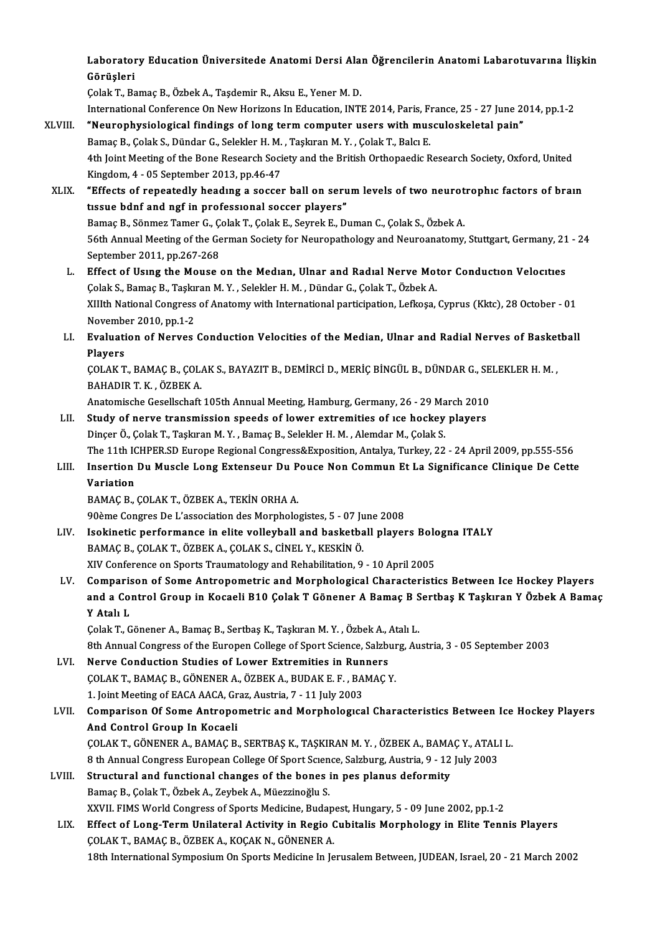Laboratory Education Üniversitede Anatomi Dersi Alan Öğrencilerin Anatomi Labarotuvarına İlişkin Laboratoi<br>Görüşleri<br><sup>Colok T. Bo</sup> Laboratory Education Üniversitede Anatomi Dersi Ala:<br>Görüşleri<br>Çolak T., Bamaç B., Özbek A., Taşdemir R., Aksu E., Yener M. D.<br>International Conference On New Herizone In Education INTI

Görüşleri<br>Çolak T., Bamaç B., Özbek A., Taşdemir R., Aksu E., Yener M. D.<br>International Conference On New Horizons In Education, INTE 2014, Paris, France, 25 - 27 June 2014, pp.1-2<br>"Neuvenbysielegisel findings of lang term Colak T., Bamaç B., Özbek A., Taşdemir R., Aksu E., Yener M. D.<br>International Conference On New Horizons In Education, INTE 2014, Paris, France, 25 - 27 June 20<br>XLVIII. "Neurophysiological findings of long term computer us

International Conference On New Horizons In Education, INTE 2014, Paris, F<br>**"Neurophysiological findings of long term computer users with mus**<br>Bamaç B., Çolak S., Dündar G., Selekler H. M. , Taşkıran M. Y. , Çolak T., Balc "Neurophysiological findings of long term computer users with musculoskeletal pain"<br>Bamaç B., Çolak S., Dündar G., Selekler H. M. , Taşkıran M. Y. , Çolak T., Balcı E.<br>4th Joint Meeting of the Bone Research Society and the Bamaç B., Çolak S., Dündar G., Selekler H. M.<br>4th Joint Meeting of the Bone Research Soci<br>Kingdom, 4 - 05 September 2013, pp.46-47<br>"Efforts of repeatedly bondung a sossei 4th Joint Meeting of the Bone Research Society and the British Orthopaedic Research Society, Oxford, United<br>Kingdom, 4 - 05 September 2013, pp.46-47<br>XLIX. "Effects of repeatedly heading a soccer ball on serum levels of two

Kingdom, 4 - 05 September 2013, pp.46-47<br>"Effects of repeatedly heading a soccer ball on seru<br>tissue bdnf and ngf in professional soccer players"<br>Pames B. Sänmer Tamer C. Colak T. Colak E. Saurek E. Di "Effects of repeatedly heading a soccer ball on serum levels of two neurot<br>tissue bdnf and ngf in professional soccer players"<br>Bamaç B., Sönmez Tamer G., Çolak T., Çolak E., Seyrek E., Duman C., Çolak S., Özbek A.<br>Eéth Ann tissue bdnf and ngf in professional soccer players"<br>Bamaç B., Sönmez Tamer G., Çolak T., Çolak E., Seyrek E., Duman C., Çolak S., Özbek A.<br>56th Annual Meeting of the German Society for Neuropathology and Neuroanatomy, Stut Bamaç B., Sönmez Tamer G., Çolak T., Çolak E., Seyrek E., Duman C., Çolak S., Özbek A. 56th Annual Meeting of the German Society for Neuropathology and Neuroanatomy, Stuttgart, Germany, 21<br>September 2011, pp.267-268<br>L. Effect of Using the Mouse on the Median, Ulnar and Radial Nerve Motor Conduction Velocitie

- September 2011, pp.267-268<br>Effect of Using the Mouse on the Median, Ulnar and Radial Nerve Mot<br>Çolak S., Bamaç B., Taşkıran M.Y. , Selekler H. M. , Dündar G., Çolak T., Özbek A.<br>Y.W.h. National Congress of Anatomy with Int Effect of Using the Mouse on the Median, Ulnar and Radial Nerve Motor Conduction Velocities<br>Çolak S., Bamaç B., Taşkıran M. Y. , Selekler H. M. , Dündar G., Çolak T., Özbek A.<br>XIIIth National Congress of Anatomy with Inter Çolak S., Bamaç B., Taşkıran M. Y. , Selekler H. M. , Dündar G., Çolak T., Özbek A.<br>XIIIth National Congress of Anatomy with International participation, Lefkoşa, Cyprus (Kktc), 28 October - 01 November 2010, pp 1-2
- LI. Evaluation of Nerves Conduction Velocities of the Median, Ulnar and Radial Nerves of Basketball<br>Players Evaluation of Nerves Conduction Velocities of the Median, Ulnar and Radial Nerves of Basket<br>Players<br>ÇOLAK T., BAMAÇ B., ÇOLAK S., BAYAZIT B., DEMİRCİ D., MERİÇ BİNGÜL B., DÜNDAR G., SELEKLER H. M. ,<br>RAHADIR T. K., ÖZREK A

Players<br>ÇOLAK T., BAMAÇ B., ÇOL.<br>BAHADIR T. K. , ÖZBEK A.<br>Anatomisebe Cesellsebeft COLAK T., BAMAC B., COLAK S., BAYAZIT B., DEMIRCI D., MERIC BINGÜL B., DÜNDAR G., SE<br>BAHADIR T. K. , ÖZBEK A.<br>Anatomische Gesellschaft 105th Annual Meeting, Hamburg, Germany, 26 - 29 March 2010<br>Study of norve transmission

## BAHADIR T. K., ÖZBEK A.<br>Anatomische Gesellschaft 105th Annual Meeting, Hamburg, Germany, 26 - 29 March 2010<br>LII. Study of nerve transmission speeds of lower extremities of ice hockey players<br>Dinger Ö. Colak T. Tackran M. V Anatomische Gesellschaft 105th Annual Meeting, Hamburg, Germany, 26 - 29 Ma<br>Study of nerve transmission speeds of lower extremities of ice hockey<br>Dinçer Ö., Çolak T., Taşkıran M. Y. , Bamaç B., Selekler H. M. , Alemdar M., Dinçer Ö., Çolak T., Taşkıran M. Y., Bamaç B., Selekler H. M., Alemdar M., Çolak S.<br>The 11th ICHPER.SD Europe Regional Congress&Exposition, Antalya, Turkey, 22 - 24 April 2009, pp.555-556 Dinçer Ö., Çolak T., Taşkıran M. Y. , Bamaç B., Selekler H. M. , Alemdar M., Çolak S.<br>The 11th ICHPER.SD Europe Regional Congress&Exposition, Antalya, Turkey, 22 - 24 April 2009, pp.555-556<br>LIII. Insertion Du Muscle Long E

## The 11th I<mark>(</mark><br>Insertion<br>Variation<br>PAMAC P Insertion Du Muscle Long Extenseur Du P<br>Variation<br>BAMAÇ B., ÇOLAK T., ÖZBEK A., TEKİN ORHA A.<br>90àme Congres De L'essegiation des Merphele Variation<br>BAMAÇ B., ÇOLAK T., ÖZBEK A., TEKİN ORHA A.<br>90ème Congres De L'association des Morphologistes, 5 - 07 June 2008<br>Jeokinetia perfermanea in alite volleyhall and besketball player

- BAMAÇ B., ÇOLAK T., ÖZBEK A., TEKİN ORHA A.<br>90ème Congres De L'association des Morphologistes, 5 07 June 2008<br>LIV. Isokinetic performance in elite volleyball and basketball players Bologna ITALY<br>BAMAÇ B., ÇOLAK T., ÖZBEK 90ème Congres De L'association des Morphologistes, 5 - 07 Ju<br>Isokinetic performance in elite volleyball and basketba<br>BAMAÇ B., ÇOLAK T., ÖZBEK A., ÇOLAK S., CİNEL Y., KESKİN Ö.<br>XIV Conference an Sperts Traumatelegy and Bab XIV Conference on Sports Traumatology and Rehabilitation, 9 - 10 April 2005
- BAMAÇ B., ÇOLAK T., ÖZBEK A., ÇOLAK S., CİNEL Y., KESKİN Ö.<br>XIV Conference on Sports Traumatology and Rehabilitation, 9 10 April 2005<br>LV. Comparison of Some Antropometric and Morphological Characteristics Between Ice Hoc XIV Conference on Sports Traumatology and Rehabilitation, 9 - 10 April 2005<br>Comparison of Some Antropometric and Morphological Characteristics Between Ice Hockey Players<br>and a Control Group in Kocaeli B10 Çolak T Gönener A Comparis<br>and a Co:<br>Y Atalı L<br>Colak T. C and a Control Group in Kocaeli B10 Çolak T Gönener A Bamaç B Sertbaş K Taşkıran Y Özbek A Bamaç<br>Y Atalı L<br>Çolak T., Gönener A., Bamaç B., Sertbaş K., Taşkıran M. Y. , Özbek A., Atalı L.

8th Annual Congress of the Europen College of Sport Science, Salzburg, Austria, 3 - 05 September 2003

Colak T., Gönener A., Bamaç B., Sertbaş K., Taşkıran M. Y., Özbek A., A.<br>8th Annual Congress of the Europen College of Sport Science, Salzbi<br>LVI. Nerve Conduction Studies of Lower Extremities in Runners<br>COLAKT PAMAC B. CÖN ÇOLAK T., BAMAÇ B., GÖNENER A., ÖZBEK A., BUDAK E. F. , BAMAÇ Y.<br>1. Joint Meeting of EACA AACA, Graz, Austria, 7 - 11 July 2003 Nerve Conduction Studies of Lower Extremities in Run<br>COLAK T., BAMAC B., GÖNENER A., ÖZBEK A., BUDAK E. F. , BA<br>1. Joint Meeting of EACA AACA, Graz, Austria, 7 - 11 July 2003<br>Comparison Of Some Antropometris and Morphologu

## COLAK T., BAMAÇ B., GÖNENER A., ÖZBEK A., BUDAK E. F. , BAMAÇ Y.<br>1. Joint Meeting of EACA AACA, Graz, Austria, 7 - 11 July 2003<br>LVII. Comparison Of Some Antropometric and Morphological Characteristics Between Ice Hockey Pl 1. Joint Meeting of EACA AACA, Growparison Of Some Antropolary<br>And Control Group In Kocaeli<br>COLAKT CÖNENER A RAMACE Comparison Of Some Antropometric and Morphological Characteristics Between Ice<br>And Control Group In Kocaeli<br>ÇOLAK T., GÖNENER A., BAMAÇ B., SERTBAŞ K., TAŞKIRAN M.Y. , ÖZBEK A., BAMAÇ Y., ATALI L.<br>8 th Annual Congress Euro And Control Group In Kocaeli<br>COLAK T., GÖNENER A., BAMAÇ B., SERTBAŞ K., TAŞKIRAN M. Y. , ÖZBEK A., BAMAÇ Y., ATALI L.

8 th Annual Congress European College Of Sport Science, Salzburg, Austria, 9 - 12 July 2003

- LVIII. Structural and functional changes of the bones in pes planus deformity<br>Bamaç B., Çolak T., Özbek A., Zeybek A., Müezzinoğlu S. XXVII. FIMS World Congress of Sports Medicine, Budapest, Hungary, 5 - 09 June 2002, pp.1-2
- Bamaç B., Çolak T., Özbek A., Zeybek A., Müezzinoğlu S.<br>XXVII. FIMS World Congress of Sports Medicine, Budapest, Hungary, 5 09 June 2002, pp.1-2<br>LIX. Effect of Long-Term Unilateral Activity in Regio Cubitalis Morphology XXVII. FIMS World Congress of Sports Medicine, Budap<br>Effect of Long-Term Unilateral Activity in Regio (<br>COLAK T., BAMAÇ B., ÖZBEK A., KOÇAK N., GÖNENER A.<br>19th International Sumnesium On Sports Medicine In Io COLAK T., BAMAÇ B., ÖZBEK A., KOÇAK N., GÖNENER A.<br>18th International Symposium On Sports Medicine In Jerusalem Between, JUDEAN, Israel, 20 - 21 March 2002